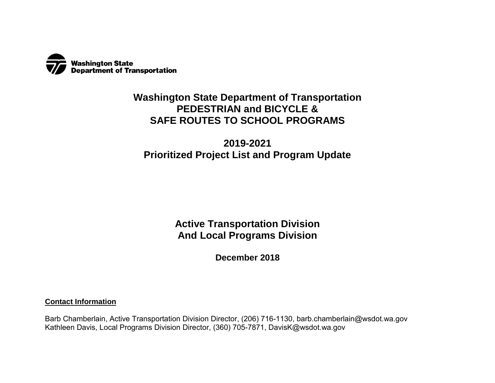

## **Washington State Department of Transportation PEDESTRIAN and BICYCLE & SAFE ROUTES TO SCHOOL PROGRAMS**

# **2019-2021 Prioritized Project List and Program Update**

**Active Transportation Division And Local Programs Division**

**December 2018**

**Contact Information** 

Barb Chamberlain, Active Transportation Division Director, (206) 716-1130, barb.chamberlain@wsdot.wa.gov Kathleen Davis, Local Programs Division Director, (360) 705-7871, DavisK@wsdot.wa.gov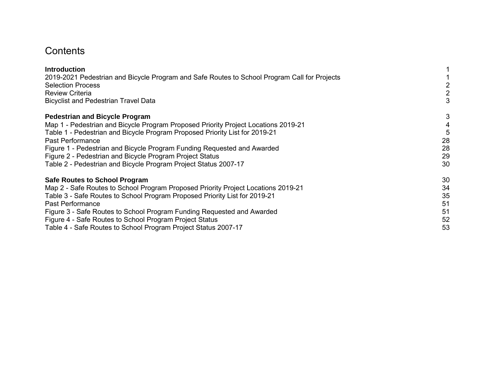# **Contents**

| <b>Introduction</b>                                                                          |    |
|----------------------------------------------------------------------------------------------|----|
| 2019-2021 Pedestrian and Bicycle Program and Safe Routes to School Program Call for Projects |    |
| <b>Selection Process</b>                                                                     |    |
| <b>Review Criteria</b>                                                                       | 2  |
| <b>Bicyclist and Pedestrian Travel Data</b>                                                  | 3  |
| <b>Pedestrian and Bicycle Program</b>                                                        | 3  |
| Map 1 - Pedestrian and Bicycle Program Proposed Priority Project Locations 2019-21           | 4  |
| Table 1 - Pedestrian and Bicycle Program Proposed Priority List for 2019-21                  |    |
| Past Performance                                                                             | 28 |
| Figure 1 - Pedestrian and Bicycle Program Funding Requested and Awarded                      | 28 |
| Figure 2 - Pedestrian and Bicycle Program Project Status                                     | 29 |
| Table 2 - Pedestrian and Bicycle Program Project Status 2007-17                              | 30 |
| <b>Safe Routes to School Program</b>                                                         | 30 |
| Map 2 - Safe Routes to School Program Proposed Priority Project Locations 2019-21            | 34 |
| Table 3 - Safe Routes to School Program Proposed Priority List for 2019-21                   | 35 |
| Past Performance                                                                             | 51 |
| Figure 3 - Safe Routes to School Program Funding Requested and Awarded                       | 51 |
| Figure 4 - Safe Routes to School Program Project Status                                      | 52 |
| Table 4 - Safe Routes to School Program Project Status 2007-17                               | 53 |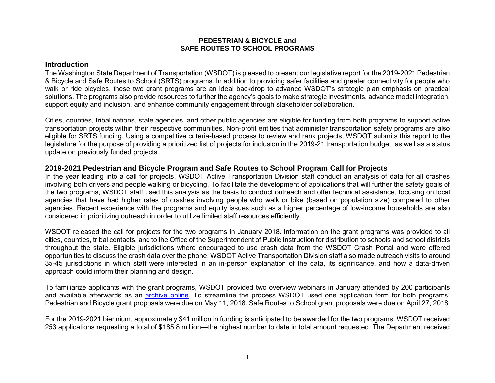#### **PEDESTRIAN & BICYCLE and SAFE ROUTES TO SCHOOL PROGRAMS**

#### <span id="page-2-0"></span>**Introduction**

The Washington State Department of Transportation (WSDOT) is pleased to present our legislative report for the 2019-2021 Pedestrian & Bicycle and Safe Routes to School (SRTS) programs. In addition to providing safer facilities and greater connectivity for people who walk or ride bicycles, these two grant programs are an ideal backdrop to advance WSDOT's strategic plan emphasis on practical solutions. The programs also provide resources to further the agency's goals to make strategic investments, advance modal integration, support equity and inclusion, and enhance community engagement through stakeholder collaboration.

Cities, counties, tribal nations, state agencies, and other public agencies are eligible for funding from both programs to support active transportation projects within their respective communities. Non-profit entities that administer transportation safety programs are also eligible for SRTS funding. Using a competitive criteria-based process to review and rank projects, WSDOT submits this report to the legislature for the purpose of providing a prioritized list of projects for inclusion in the 2019-21 transportation budget, as well as a status update on previously funded projects.

#### <span id="page-2-1"></span>**2019-2021 Pedestrian and Bicycle Program and Safe Routes to School Program Call for Projects**

In the year leading into a call for projects, WSDOT Active Transportation Division staff conduct an analysis of data for all crashes involving both drivers and people walking or bicycling. To facilitate the development of applications that will further the safety goals of the two programs, WSDOT staff used this analysis as the basis to conduct outreach and offer technical assistance, focusing on local agencies that have had higher rates of crashes involving people who walk or bike (based on population size) compared to other agencies. Recent experience with the programs and equity issues such as a higher percentage of low-income households are also considered in prioritizing outreach in order to utilize limited staff resources efficiently.

WSDOT released the call for projects for the two programs in January 2018. Information on the grant programs was provided to all cities, counties, tribal contacts, and to the Office of the Superintendent of Public Instruction for distribution to schools and school districts throughout the state. Eligible jurisdictions where encouraged to use crash data from the WSDOT Crash Portal and were offered opportunities to discuss the crash data over the phone. WSDOT Active Transportation Division staff also made outreach visits to around 35-45 jurisdictions in which staff were interested in an in-person explanation of the data, its significance, and how a data-driven approach could inform their planning and design.

To familiarize applicants with the grant programs, WSDOT provided two overview webinars in January attended by 200 participants and available afterwards as an [archive online.](http://www.wsdot.wa.gov/NR/rdonlyres/11BEC450-C693-47A8-B102-9825B63E61D4/0/Webinar2018_SRTS_PBP.pdf) To streamline the process WSDOT used one application form for both programs. Pedestrian and Bicycle grant proposals were due on May 11, 2018. Safe Routes to School grant proposals were due on April 27, 2018.

For the 2019-2021 biennium, approximately \$41 million in funding is anticipated to be awarded for the two programs. WSDOT received 253 applications requesting a total of \$185.8 million—the highest number to date in total amount requested. The Department received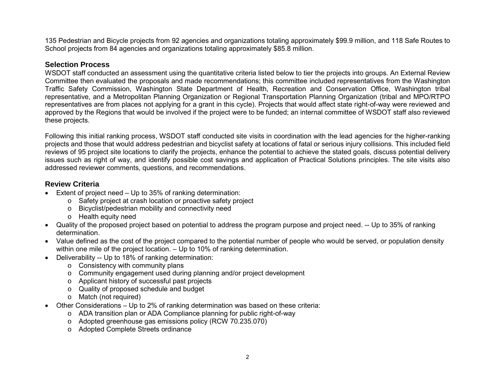135 Pedestrian and Bicycle projects from 92 agencies and organizations totaling approximately \$99.9 million, and 118 Safe Routes to School projects from 84 agencies and organizations totaling approximately \$85.8 million.

#### <span id="page-3-0"></span>**Selection Process**

WSDOT staff conducted an assessment using the quantitative criteria listed below to tier the projects into groups. An External Review Committee then evaluated the proposals and made recommendations; this committee included representatives from the Washington Traffic Safety Commission, Washington State Department of Health, Recreation and Conservation Office, Washington tribal representative, and a Metropolitan Planning Organization or Regional Transportation Planning Organization (tribal and MPO/RTPO representatives are from places not applying for a grant in this cycle). Projects that would affect state right-of-way were reviewed and approved by the Regions that would be involved if the project were to be funded; an internal committee of WSDOT staff also reviewed these projects.

Following this initial ranking process, WSDOT staff conducted site visits in coordination with the lead agencies for the higher-ranking projects and those that would address pedestrian and bicyclist safety at locations of fatal or serious injury collisions. This included field reviews of 95 project site locations to clarify the projects, enhance the potential to achieve the stated goals, discuss potential delivery issues such as right of way, and identify possible cost savings and application of Practical Solutions principles. The site visits also addressed reviewer comments, questions, and recommendations.

### <span id="page-3-1"></span>**Review Criteria**

- Extent of project need Up to 35% of ranking determination:
	- o Safety project at crash location or proactive safety project
	- o Bicyclist/pedestrian mobility and connectivity need
	- o Health equity need
- Quality of the proposed project based on potential to address the program purpose and project need. -- Up to 35% of ranking determination.
- Value defined as the cost of the project compared to the potential number of people who would be served, or population density within one mile of the project location. – Up to 10% of ranking determination.
- Deliverability -- Up to 18% of ranking determination:
	- o Consistency with community plans
	- o Community engagement used during planning and/or project development
	- o Applicant history of successful past projects
	- o Quality of proposed schedule and budget
	- o Match (not required)
- Other Considerations Up to 2% of ranking determination was based on these criteria:
	- $\circ$  ADA transition plan or ADA Compliance planning for public right-of-way
	- o Adopted greenhouse gas emissions policy (RCW 70.235.070)
	- o Adopted Complete Streets ordinance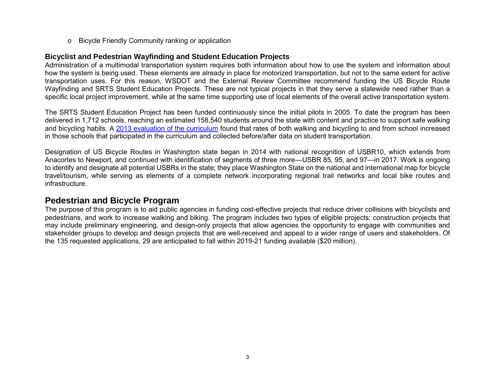o Bicycle Friendly Community ranking or application

#### <span id="page-4-0"></span>**Bicyclist and Pedestrian Wayfinding and Student Education Projects**

Administration of a multimodal transportation system requires both information about how to use the system and information about how the system is being used. These elements are already in place for motorized transportation, but not to the same extent for active transportation uses. For this reason, WSDOT and the External Review Committee recommend funding the US Bicycle Route Wayfinding and SRTS Student Education Projects. These are not typical projects in that they serve a statewide need rather than a specific local project improvement, while at the same time supporting use of local elements of the overall active transportation system.

The SRTS Student Education Project has been funded continuously since the initial pilots in 2005. To date the program has been delivered in 1,712 schools, reaching an estimated 158,540 students around the state with content and practice to support safe walking and bicycling habits. A [2013 evaluation of the curriculum](http://wabikes.org/wp-content/uploads/2013/02/SRTS_Report_and_Appendices_January2013.pdf) found that rates of both walking and bicycling to and from school increased in those schools that participated in the curriculum and collected before/after data on student transportation.

Designation of US Bicycle Routes in Washington state began in 2014 with national recognition of USBR10, which extends from Anacortes to Newport, and continued with identification of segments of three more—USBR 85, 95, and 97—in 2017. Work is ongoing to identify and designate all potential USBRs in the state; they place Washington State on the national and international map for bicycle travel/tourism, while serving as elements of a complete network incorporating regional trail networks and local bike routes and infrastructure.

## <span id="page-4-1"></span>**Pedestrian and Bicycle Program**

The purpose of this program is to aid public agencies in funding cost-effective projects that reduce driver collisions with bicyclists and pedestrians, and work to increase walking and biking. The program includes two types of eligible projects: construction projects that may include preliminary engineering, and design-only projects that allow agencies the opportunity to engage with communities and stakeholder groups to develop and design projects that are well-received and appeal to a wider range of users and stakeholders. Of the 135 requested applications, 29 are anticipated to fall within 2019-21 funding available (\$20 million).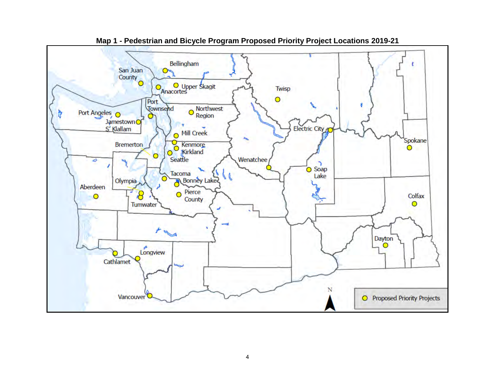<span id="page-5-0"></span>

**Map 1 - Pedestrian and Bicycle Program Proposed Priority Project Locations 2019-21**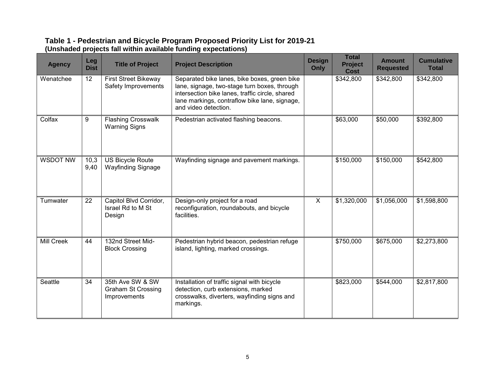#### <span id="page-6-0"></span>**Table 1 - Pedestrian and Bicycle Program Proposed Priority List for 2019-21 (Unshaded projects fall within available funding expectations)**

| <b>Agency</b>     | Leg<br><b>Dist</b> | <b>Title of Project</b>                                       | <b>Project Description</b>                                                                                                                                                                                               | <b>Design</b><br>Only | <b>Total</b><br>Project<br><b>Cost</b> | <b>Amount</b><br><b>Requested</b> | <b>Cumulative</b><br><b>Total</b> |
|-------------------|--------------------|---------------------------------------------------------------|--------------------------------------------------------------------------------------------------------------------------------------------------------------------------------------------------------------------------|-----------------------|----------------------------------------|-----------------------------------|-----------------------------------|
| Wenatchee         | 12                 | First Street Bikeway<br>Safety Improvements                   | Separated bike lanes, bike boxes, green bike<br>lane, signage, two-stage turn boxes, through<br>intersection bike lanes, traffic circle, shared<br>lane markings, contraflow bike lane, signage,<br>and video detection. |                       | \$342,800                              | \$342,800                         | \$342,800                         |
| Colfax            | 9                  | <b>Flashing Crosswalk</b><br><b>Warning Signs</b>             | Pedestrian activated flashing beacons.                                                                                                                                                                                   |                       | \$63,000                               | \$50,000                          | \$392,800                         |
| <b>WSDOT NW</b>   | 10,3<br>9,40       | <b>US Bicycle Route</b><br><b>Wayfinding Signage</b>          | Wayfinding signage and pavement markings.                                                                                                                                                                                |                       | \$150,000                              | \$150,000                         | \$542,800                         |
| Tumwater          | 22                 | Capitol Blvd Corridor,<br>Israel Rd to M St<br>Design         | Design-only project for a road<br>reconfiguration, roundabouts, and bicycle<br>facilities.                                                                                                                               | $\overline{X}$        | \$1,320,000                            | \$1,056,000                       | \$1,598,800                       |
| <b>Mill Creek</b> | 44                 | 132nd Street Mid-<br><b>Block Crossing</b>                    | Pedestrian hybrid beacon, pedestrian refuge<br>island, lighting, marked crossings.                                                                                                                                       |                       | \$750,000                              | \$675,000                         | \$2,273,800                       |
| Seattle           | 34                 | 35th Ave SW & SW<br><b>Graham St Crossing</b><br>Improvements | Installation of traffic signal with bicycle<br>detection, curb extensions, marked<br>crosswalks, diverters, wayfinding signs and<br>markings.                                                                            |                       | \$823,000                              | \$544,000                         | \$2,817,800                       |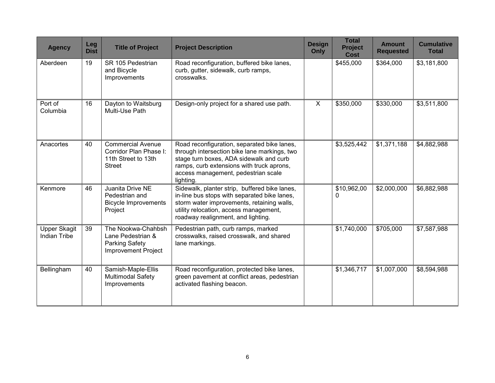| <b>Agency</b>                              | Leg<br><b>Dist</b> | <b>Title of Project</b>                                                                        | <b>Project Description</b>                                                                                                                                                                                                              | <b>Design</b><br>Only | <b>Total</b><br><b>Project</b><br><b>Cost</b> | <b>Amount</b><br><b>Requested</b> | <b>Cumulative</b><br><b>Total</b> |
|--------------------------------------------|--------------------|------------------------------------------------------------------------------------------------|-----------------------------------------------------------------------------------------------------------------------------------------------------------------------------------------------------------------------------------------|-----------------------|-----------------------------------------------|-----------------------------------|-----------------------------------|
| Aberdeen                                   | 19                 | SR 105 Pedestrian<br>and Bicycle<br>Improvements                                               | Road reconfiguration, buffered bike lanes,<br>curb, gutter, sidewalk, curb ramps,<br>crosswalks.                                                                                                                                        |                       | \$455,000                                     | \$364,000                         | \$3,181,800                       |
| Port of<br>Columbia                        | 16                 | Dayton to Waitsburg<br>Multi-Use Path                                                          | Design-only project for a shared use path.                                                                                                                                                                                              | $\overline{X}$        | \$350,000                                     | \$330,000                         | \$3,511,800                       |
| Anacortes                                  | 40                 | <b>Commercial Avenue</b><br>Corridor Plan Phase I:<br>11th Street to 13th<br><b>Street</b>     | Road reconfiguration, separated bike lanes,<br>through intersection bike lane markings, two<br>stage turn boxes, ADA sidewalk and curb<br>ramps, curb extensions with truck aprons,<br>access management, pedestrian scale<br>lighting. |                       | \$3,525,442                                   | \$1,371,188                       | \$4,882,988                       |
| Kenmore                                    | 46                 | Juanita Drive NE<br>Pedestrian and<br><b>Bicycle Improvements</b><br>Project                   | Sidewalk, planter strip, buffered bike lanes,<br>in-line bus stops with separated bike lanes,<br>storm water improvements, retaining walls,<br>utility relocation, access management,<br>roadway realignment, and lighting.             |                       | \$10,962,00<br>0                              | \$2,000,000                       | \$6,882,988                       |
| <b>Upper Skagit</b><br><b>Indian Tribe</b> | 39                 | The Nookwa-Chahbsh<br>Lane Pedestrian &<br><b>Parking Safety</b><br><b>Improvement Project</b> | Pedestrian path, curb ramps, marked<br>crosswalks, raised crosswalk, and shared<br>lane markings.                                                                                                                                       |                       | \$1,740,000                                   | \$705,000                         | \$7,587,988                       |
| Bellingham                                 | 40                 | Samish-Maple-Ellis<br><b>Multimodal Safety</b><br>Improvements                                 | Road reconfiguration, protected bike lanes,<br>green pavement at conflict areas, pedestrian<br>activated flashing beacon.                                                                                                               |                       | \$1,346,717                                   | \$1,007,000                       | \$8,594,988                       |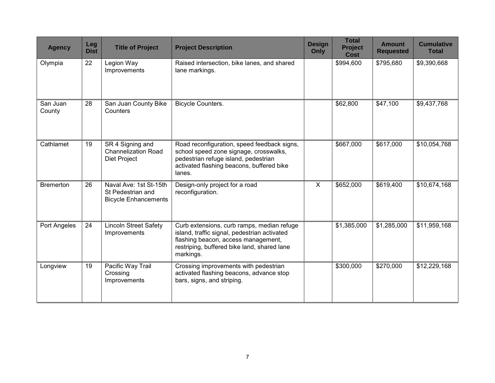| <b>Agency</b>      | Leg<br><b>Dist</b> | <b>Title of Project</b>                                                    | <b>Project Description</b>                                                                                                                                                                    | <b>Design</b><br>Only     | <b>Total</b><br><b>Project</b><br><b>Cost</b> | <b>Amount</b><br><b>Requested</b> | <b>Cumulative</b><br><b>Total</b> |
|--------------------|--------------------|----------------------------------------------------------------------------|-----------------------------------------------------------------------------------------------------------------------------------------------------------------------------------------------|---------------------------|-----------------------------------------------|-----------------------------------|-----------------------------------|
| Olympia            | 22                 | Legion Way<br>Improvements                                                 | Raised intersection, bike lanes, and shared<br>lane markings.                                                                                                                                 |                           | \$994,600                                     | \$795,680                         | \$9,390,668                       |
| San Juan<br>County | 28                 | San Juan County Bike<br>Counters                                           | <b>Bicycle Counters.</b>                                                                                                                                                                      |                           | \$62,800                                      | \$47,100                          | \$9,437,768                       |
| Cathlamet          | 19                 | SR 4 Signing and<br><b>Channelization Road</b><br>Diet Project             | Road reconfiguration, speed feedback signs,<br>school speed zone signage, crosswalks,<br>pedestrian refuge island, pedestrian<br>activated flashing beacons, buffered bike<br>lanes.          |                           | \$667,000                                     | \$617,000                         | \$10,054,768                      |
| <b>Bremerton</b>   | 26                 | Naval Ave: 1st St-15th<br>St Pedestrian and<br><b>Bicycle Enhancements</b> | Design-only project for a road<br>reconfiguration.                                                                                                                                            | $\boldsymbol{\mathsf{X}}$ | \$652,000                                     | \$619,400                         | \$10,674,168                      |
| Port Angeles       | 24                 | <b>Lincoln Street Safety</b><br>Improvements                               | Curb extensions, curb ramps, median refuge<br>island, traffic signal, pedestrian activated<br>flashing beacon, access management,<br>restriping, buffered bike land, shared lane<br>markings. |                           | \$1,385,000                                   | \$1,285,000                       | \$11,959,168                      |
| Longview           | 19                 | Pacific Way Trail<br>Crossing<br>Improvements                              | Crossing improvements with pedestrian<br>activated flashing beacons, advance stop<br>bars, signs, and striping.                                                                               |                           | \$300,000                                     | \$270,000                         | \$12,229,168                      |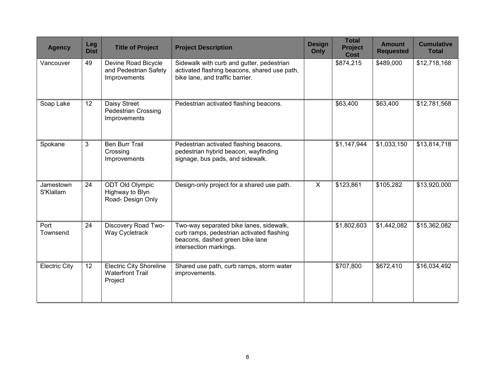| <b>Agency</b>          | Leg<br><b>Dist</b> | <b>Title of Project</b>                                              | <b>Project Description</b>                                                                                                                        | <b>Design</b><br>Only   | <b>Total</b><br><b>Project</b><br><b>Cost</b> | <b>Amount</b><br><b>Requested</b> | <b>Cumulative</b><br><b>Total</b> |
|------------------------|--------------------|----------------------------------------------------------------------|---------------------------------------------------------------------------------------------------------------------------------------------------|-------------------------|-----------------------------------------------|-----------------------------------|-----------------------------------|
| Vancouver              | 49                 | Devine Road Bicycle<br>and Pedestrian Safety<br>Improvements         | Sidewalk with curb and gutter, pedestrian<br>activated flashing beacons, shared use path,<br>bike lane, and traffic barrier.                      |                         | \$874,215                                     | \$489,000                         | \$12,718,168                      |
| Soap Lake              | 12                 | Daisy Street<br><b>Pedestrian Crossing</b><br>Improvements           | Pedestrian activated flashing beacons.                                                                                                            |                         | \$63,400                                      | \$63,400                          | \$12,781,568                      |
| Spokane                | 3                  | <b>Ben Burr Trail</b><br>Crossing<br>Improvements                    | Pedestrian activated flashing beacons,<br>pedestrian hybrid beacon, wayfinding<br>signage, bus pads, and sidewalk.                                |                         | \$1,147,944                                   | \$1,033,150                       | \$13,814,718                      |
| Jamestown<br>S'Klallam | 24                 | <b>ODT Old Olympic</b><br>Highway to Blyn<br>Road- Design Only       | Design-only project for a shared use path.                                                                                                        | $\overline{\mathsf{x}}$ | \$123,861                                     | \$105,282                         | \$13,920,000                      |
| Port<br>Townsend       | 24                 | Discovery Road Two-<br>Way Cycletrack                                | Two-way separated bike lanes, sidewalk,<br>curb ramps, pedestrian activated flashing<br>beacons, dashed green bike lane<br>intersection markings. |                         | \$1,802,603                                   | \$1,442,082                       | \$15,362,082                      |
| <b>Electric City</b>   | 12 <sup>°</sup>    | <b>Electric City Shoreline</b><br><b>Waterfront Trail</b><br>Project | Shared use path, curb ramps, storm water<br>improvements.                                                                                         |                         | \$707,800                                     | \$672,410                         | \$16,034,492                      |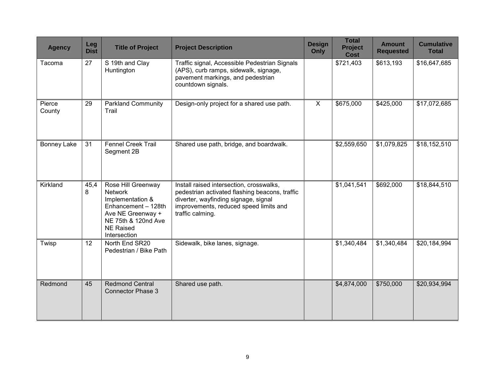| <b>Agency</b>      | Leg<br><b>Dist</b> | <b>Title of Project</b>                                                                                                                                         | <b>Project Description</b>                                                                                                                                                                       | <b>Design</b><br>Only | <b>Total</b><br><b>Project</b><br><b>Cost</b> | <b>Amount</b><br><b>Requested</b> | <b>Cumulative</b><br><b>Total</b> |
|--------------------|--------------------|-----------------------------------------------------------------------------------------------------------------------------------------------------------------|--------------------------------------------------------------------------------------------------------------------------------------------------------------------------------------------------|-----------------------|-----------------------------------------------|-----------------------------------|-----------------------------------|
| Tacoma             | 27                 | S 19th and Clay<br>Huntington                                                                                                                                   | Traffic signal, Accessible Pedestrian Signals<br>(APS), curb ramps, sidewalk, signage,<br>pavement markings, and pedestrian<br>countdown signals.                                                |                       | \$721,403                                     | \$613,193                         | \$16,647,685                      |
| Pierce<br>County   | 29                 | <b>Parkland Community</b><br>Trail                                                                                                                              | Design-only project for a shared use path.                                                                                                                                                       | $\overline{X}$        | \$675,000                                     | \$425,000                         | \$17,072,685                      |
| <b>Bonney Lake</b> | 31                 | <b>Fennel Creek Trail</b><br>Segment 2B                                                                                                                         | Shared use path, bridge, and boardwalk.                                                                                                                                                          |                       | \$2,559,650                                   | \$1,079,825                       | \$18,152,510                      |
| Kirkland           | 45,4<br>8          | Rose Hill Greenway<br><b>Network</b><br>Implementation &<br>Enhancement - 128th<br>Ave NE Greenway +<br>NE 75th & 120nd Ave<br><b>NE Raised</b><br>Intersection | Install raised intersection, crosswalks,<br>pedestrian activated flashing beacons, traffic<br>diverter, wayfinding signage, signal<br>improvements, reduced speed limits and<br>traffic calming. |                       | \$1,041,541                                   | \$692,000                         | \$18,844,510                      |
| Twisp              | 12                 | North End SR20<br>Pedestrian / Bike Path                                                                                                                        | Sidewalk, bike lanes, signage.                                                                                                                                                                   |                       | \$1,340,484                                   | \$1,340,484                       | \$20,184,994                      |
| Redmond            | 45                 | <b>Redmond Central</b><br><b>Connector Phase 3</b>                                                                                                              | Shared use path.                                                                                                                                                                                 |                       | \$4,874,000                                   | \$750,000                         | \$20,934,994                      |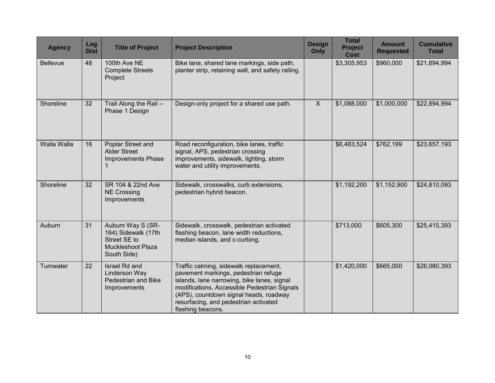| <b>Agency</b>   | Leg<br><b>Dist</b> | <b>Title of Project</b>                                                                      | <b>Project Description</b>                                                                                                                                                                                                                                                            | <b>Design</b><br>Only | <b>Total</b><br><b>Project</b><br><b>Cost</b> | <b>Amount</b><br><b>Requested</b> | <b>Cumulative</b><br><b>Total</b> |
|-----------------|--------------------|----------------------------------------------------------------------------------------------|---------------------------------------------------------------------------------------------------------------------------------------------------------------------------------------------------------------------------------------------------------------------------------------|-----------------------|-----------------------------------------------|-----------------------------------|-----------------------------------|
| <b>Bellevue</b> | 48                 | 100th Ave NE<br><b>Complete Streets</b><br>Project                                           | Bike lane, shared lane markings, side path,<br>planter strip, retaining wall, and safety railing.                                                                                                                                                                                     |                       | \$3,305,953                                   | \$960,000                         | \$21,894,994                      |
| Shoreline       | 32                 | Trail Along the Rail -<br>Phase 1 Design                                                     | Design-only project for a shared use path.                                                                                                                                                                                                                                            | $\mathsf{X}$          | \$1,088,000                                   | \$1,000,000                       | \$22,894,994                      |
| Walla Walla     | 16                 | Poplar Street and<br><b>Alder Street</b><br><b>Improvements Phase</b>                        | Road reconfiguration, bike lanes, traffic<br>signal, APS, pedestrian crossing<br>improvements, sidewalk, lighting, storm<br>water and utility improvements.                                                                                                                           |                       | \$6,483,524                                   | \$762,199                         | \$23,657,193                      |
| Shoreline       | 32                 | SR 104 & 22nd Ave<br><b>NE Crossing</b><br>Improvements                                      | Sidewalk, crosswalks, curb extensions,<br>pedestrian hybrid beacon.                                                                                                                                                                                                                   |                       | \$1,192,200                                   | \$1,152,900                       | \$24,810,093                      |
| Auburn          | 31                 | Auburn Way S (SR-<br>164) Sidewalk (17th<br>Street SE to<br>Muckleshoot Plaza<br>South Side) | Sidewalk, crosswalk, pedestrian activated<br>flashing beacon, lane width reductions,<br>median islands, and c-curbing.                                                                                                                                                                |                       | \$713,000                                     | \$605,300                         | \$25,415,393                      |
| Tumwater        | 22                 | Israel Rd and<br><b>Linderson Way</b><br>Pedestrian and Bike<br>Improvements                 | Traffic calming, sidewalk replacement,<br>pavement markings, pedestrian refuge<br>islands, lane narrowing, bike lanes, signal<br>modifications, Accessible Pedestrian Signals<br>(APS), countdown signal heads, roadway<br>resurfacing, and pedestrian activated<br>flashing beacons. |                       | \$1,420,000                                   | \$665,000                         | \$26,080,393                      |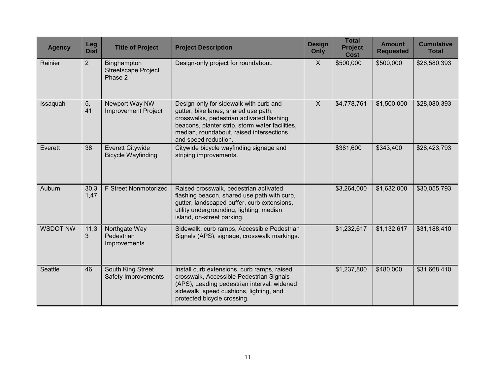| <b>Agency</b>   | Leg<br><b>Dist</b> | <b>Title of Project</b>                              | <b>Project Description</b>                                                                                                                                                                                                                          | <b>Design</b><br>Only | <b>Total</b><br><b>Project</b><br><b>Cost</b> | <b>Amount</b><br><b>Requested</b> | <b>Cumulative</b><br><b>Total</b> |
|-----------------|--------------------|------------------------------------------------------|-----------------------------------------------------------------------------------------------------------------------------------------------------------------------------------------------------------------------------------------------------|-----------------------|-----------------------------------------------|-----------------------------------|-----------------------------------|
| Rainier         | $\overline{2}$     | Binghampton<br><b>Streetscape Project</b><br>Phase 2 | Design-only project for roundabout.                                                                                                                                                                                                                 | X                     | \$500,000                                     | \$500,000                         | \$26,580,393                      |
| Issaquah        | 5,<br>41           | Newport Way NW<br><b>Improvement Project</b>         | Design-only for sidewalk with curb and<br>gutter, bike lanes, shared use path,<br>crosswalks, pedestrian activated flashing<br>beacons, planter strip, storm water facilities,<br>median, roundabout, raised intersections,<br>and speed reduction. | $\mathsf{X}$          | \$4,778,761                                   | \$1,500,000                       | \$28,080,393                      |
| Everett         | 38                 | <b>Everett Citywide</b><br><b>Bicycle Wayfinding</b> | Citywide bicycle wayfinding signage and<br>striping improvements.                                                                                                                                                                                   |                       | \$381,600                                     | \$343,400                         | \$28,423,793                      |
| Auburn          | 30,3<br>1,47       | F Street Nonmotorized                                | Raised crosswalk, pedestrian activated<br>flashing beacon, shared use path with curb,<br>gutter, landscaped buffer, curb extensions,<br>utility undergrounding, lighting, median<br>island, on-street parking.                                      |                       | \$3,264,000                                   | \$1,632,000                       | \$30,055,793                      |
| <b>WSDOT NW</b> | 11,3<br>3          | Northgate Way<br>Pedestrian<br>Improvements          | Sidewalk, curb ramps, Accessible Pedestrian<br>Signals (APS), signage, crosswalk markings.                                                                                                                                                          |                       | \$1,232,617                                   | \$1,132,617                       | \$31,188,410                      |
| <b>Seattle</b>  | 46                 | South King Street<br>Safety Improvements             | Install curb extensions, curb ramps, raised<br>crosswalk, Accessible Pedestrian Signals<br>(APS), Leading pedestrian interval, widened<br>sidewalk, speed cushions, lighting, and<br>protected bicycle crossing.                                    |                       | \$1,237,800                                   | \$480,000                         | \$31,668,410                      |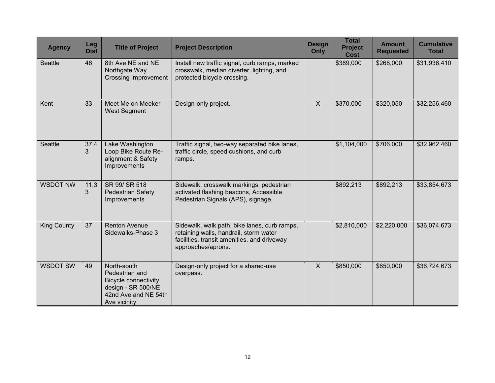| <b>Agency</b>      | Leg<br><b>Dist</b> | <b>Title of Project</b>                                                                                                    | <b>Project Description</b>                                                                                                                                  | <b>Design</b><br>Only | <b>Total</b><br><b>Project</b><br><b>Cost</b> | <b>Amount</b><br><b>Requested</b> | <b>Cumulative</b><br><b>Total</b> |
|--------------------|--------------------|----------------------------------------------------------------------------------------------------------------------------|-------------------------------------------------------------------------------------------------------------------------------------------------------------|-----------------------|-----------------------------------------------|-----------------------------------|-----------------------------------|
| Seattle            | 46                 | 8th Ave NE and NE<br>Northgate Way<br><b>Crossing Improvement</b>                                                          | Install new traffic signal, curb ramps, marked<br>crosswalk, median diverter, lighting, and<br>protected bicycle crossing.                                  |                       | \$389,000                                     | \$268,000                         | \$31,936,410                      |
| Kent               | 33                 | Meet Me on Meeker<br><b>West Segment</b>                                                                                   | Design-only project.                                                                                                                                        | $\mathsf{X}$          | \$370,000                                     | \$320,050                         | \$32,256,460                      |
| <b>Seattle</b>     | 37,4<br>3          | Lake Washington<br>Loop Bike Route Re-<br>alignment & Safety<br>Improvements                                               | Traffic signal, two-way separated bike lanes,<br>traffic circle, speed cushions, and curb<br>ramps.                                                         |                       | \$1,104,000                                   | \$706,000                         | \$32,962,460                      |
| <b>WSDOT NW</b>    | 11,3<br>3          | SR 99/ SR 518<br>Pedestrian Safety<br>Improvements                                                                         | Sidewalk, crosswalk markings, pedestrian<br>activated flashing beacons, Accessible<br>Pedestrian Signals (APS), signage.                                    |                       | \$892,213                                     | \$892,213                         | \$33,854,673                      |
| <b>King County</b> | 37                 | <b>Renton Avenue</b><br>Sidewalks-Phase 3                                                                                  | Sidewalk, walk path, bike lanes, curb ramps,<br>retaining walls, handrail, storm water<br>facilities, transit amenities, and driveway<br>approaches/aprons. |                       | \$2,810,000                                   | \$2,220,000                       | \$36,074,673                      |
| <b>WSDOT SW</b>    | 49                 | North-south<br>Pedestrian and<br><b>Bicycle connectivity</b><br>design - SR 500/NE<br>42nd Ave and NE 54th<br>Ave vicinity | Design-only project for a shared-use<br>overpass.                                                                                                           | $\mathsf{X}$          | \$850,000                                     | \$650,000                         | \$36,724,673                      |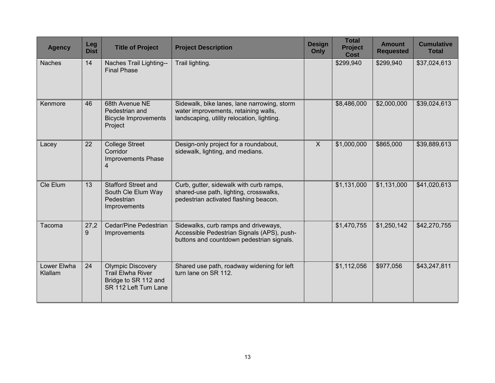| <b>Agency</b>          | Leg<br><b>Dist</b> | <b>Title of Project</b>                                                                              | <b>Project Description</b>                                                                                                        | <b>Design</b><br>Only | <b>Total</b><br><b>Project</b><br><b>Cost</b> | <b>Amount</b><br><b>Requested</b> | <b>Cumulative</b><br><b>Total</b> |
|------------------------|--------------------|------------------------------------------------------------------------------------------------------|-----------------------------------------------------------------------------------------------------------------------------------|-----------------------|-----------------------------------------------|-----------------------------------|-----------------------------------|
| <b>Naches</b>          | 14                 | Naches Trail Lighting--<br><b>Final Phase</b>                                                        | Trail lighting.                                                                                                                   |                       | \$299,940                                     | \$299,940                         | \$37,024,613                      |
| Kenmore                | 46                 | 68th Avenue NE<br>Pedestrian and<br><b>Bicycle Improvements</b><br>Project                           | Sidewalk, bike lanes, lane narrowing, storm<br>water improvements, retaining walls,<br>landscaping, utility relocation, lighting. |                       | \$8,486,000                                   | \$2,000,000                       | \$39,024,613                      |
| Lacey                  | 22                 | <b>College Street</b><br>Corridor<br><b>Improvements Phase</b><br>4                                  | Design-only project for a roundabout,<br>sidewalk, lighting, and medians.                                                         | $\mathsf{X}$          | \$1,000,000                                   | \$865,000                         | \$39,889,613                      |
| Cle Elum               | 13                 | <b>Stafford Street and</b><br>South Cle Elum Way<br>Pedestrian<br>Improvements                       | Curb, gutter, sidewalk with curb ramps,<br>shared-use path, lighting, crosswalks,<br>pedestrian activated flashing beacon.        |                       | \$1,131,000                                   | \$1,131,000                       | \$41,020,613                      |
| Tacoma                 | 27,2<br>9          | Cedar/Pine Pedestrian<br>Improvements                                                                | Sidewalks, curb ramps and driveways,<br>Accessible Pedestrian Signals (APS), push-<br>buttons and countdown pedestrian signals.   |                       | \$1,470,755                                   | \$1,250,142                       | \$42,270,755                      |
| Lower Elwha<br>Klallam | 24                 | <b>Olympic Discovery</b><br><b>Trail Elwha River</b><br>Bridge to SR 112 and<br>SR 112 Left Tum Lane | Shared use path, roadway widening for left<br>turn lane on SR 112.                                                                |                       | \$1,112,056                                   | \$977,056                         | \$43,247,811                      |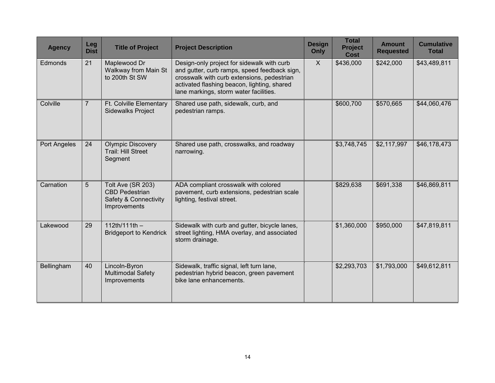| <b>Agency</b>  | Leg<br><b>Dist</b> | <b>Title of Project</b>                                                             | <b>Project Description</b>                                                                                                                                                                                                        | <b>Design</b><br>Only | <b>Total</b><br><b>Project</b><br><b>Cost</b> | <b>Amount</b><br><b>Requested</b> | <b>Cumulative</b><br><b>Total</b> |
|----------------|--------------------|-------------------------------------------------------------------------------------|-----------------------------------------------------------------------------------------------------------------------------------------------------------------------------------------------------------------------------------|-----------------------|-----------------------------------------------|-----------------------------------|-----------------------------------|
| <b>Edmonds</b> | 21                 | Maplewood Dr<br>Walkway from Main St<br>to 200th St SW                              | Design-only project for sidewalk with curb<br>and gutter, curb ramps, speed feedback sign,<br>crosswalk with curb extensions, pedestrian<br>activated flashing beacon, lighting, shared<br>lane markings, storm water facilities. | X                     | \$436,000                                     | \$242,000                         | \$43,489,811                      |
| Colville       | $\overline{7}$     | Ft. Colville Elementary<br><b>Sidewalks Project</b>                                 | Shared use path, sidewalk, curb, and<br>pedestrian ramps.                                                                                                                                                                         |                       | \$600,700                                     | \$570,665                         | \$44,060,476                      |
| Port Angeles   | 24                 | <b>Olympic Discovery</b><br>Trail: Hill Street<br>Segment                           | Shared use path, crosswalks, and roadway<br>narrowing.                                                                                                                                                                            |                       | \$3,748,745                                   | \$2,117,997                       | \$46,178,473                      |
| Carnation      | 5                  | Tolt Ave (SR 203)<br><b>CBD Pedestrian</b><br>Safety & Connectivity<br>Improvements | ADA compliant crosswalk with colored<br>pavement, curb extensions, pedestrian scale<br>lighting, festival street.                                                                                                                 |                       | \$829,638                                     | \$691,338                         | \$46,869,811                      |
| Lakewood       | 29                 | $112th/111th -$<br><b>Bridgeport to Kendrick</b>                                    | Sidewalk with curb and gutter, bicycle lanes,<br>street lighting, HMA overlay, and associated<br>storm drainage.                                                                                                                  |                       | \$1,360,000                                   | \$950,000                         | \$47,819,811                      |
| Bellingham     | 40                 | Lincoln-Byron<br><b>Multimodal Safety</b><br>Improvements                           | Sidewalk, traffic signal, left turn lane,<br>pedestrian hybrid beacon, green pavement<br>bike lane enhancements.                                                                                                                  |                       | \$2,293,703                                   | \$1,793,000                       | \$49,612,811                      |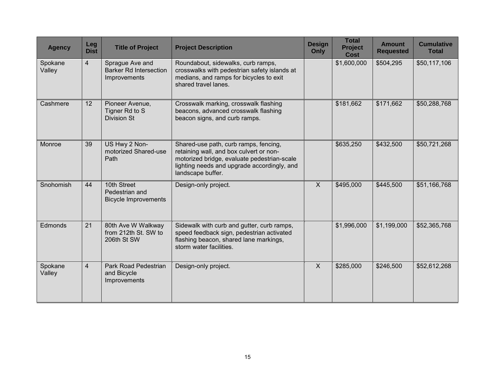| <b>Agency</b>     | Leg<br><b>Dist</b> | <b>Title of Project</b>                                          | <b>Project Description</b>                                                                                                                                                                          | <b>Design</b><br>Only | <b>Total</b><br><b>Project</b><br><b>Cost</b> | <b>Amount</b><br><b>Requested</b> | <b>Cumulative</b><br><b>Total</b> |
|-------------------|--------------------|------------------------------------------------------------------|-----------------------------------------------------------------------------------------------------------------------------------------------------------------------------------------------------|-----------------------|-----------------------------------------------|-----------------------------------|-----------------------------------|
| Spokane<br>Valley | $\overline{4}$     | Sprague Ave and<br><b>Barker Rd Intersection</b><br>Improvements | Roundabout, sidewalks, curb ramps,<br>crosswalks with pedestrian safety islands at<br>medians, and ramps for bicycles to exit<br>shared travel lanes.                                               |                       | \$1,600,000                                   | \$504,295                         | \$50,117,106                      |
| Cashmere          | 12                 | Pioneer Avenue,<br>Tigner Rd to S<br><b>Division St</b>          | Crosswalk marking, crosswalk flashing<br>beacons, advanced crosswalk flashing<br>beacon signs, and curb ramps.                                                                                      |                       | \$181,662                                     | \$171,662                         | \$50,288,768                      |
| Monroe            | 39                 | US Hwy 2 Non-<br>motorized Shared-use<br>Path                    | Shared-use path, curb ramps, fencing,<br>retaining wall, and box culvert or non-<br>motorized bridge, evaluate pedestrian-scale<br>lighting needs and upgrade accordingly, and<br>landscape buffer. |                       | \$635,250                                     | \$432,500                         | \$50,721,268                      |
| Snohomish         | 44                 | 10th Street<br>Pedestrian and<br><b>Bicycle Improvements</b>     | Design-only project.                                                                                                                                                                                | $\mathsf{X}$          | \$495,000                                     | \$445,500                         | \$51,166,768                      |
| Edmonds           | 21                 | 80th Ave W Walkway<br>from 212th St. SW to<br>206th St SW        | Sidewalk with curb and gutter, curb ramps,<br>speed feedback sign, pedestrian activated<br>flashing beacon, shared lane markings,<br>storm water facilities.                                        |                       | \$1,996,000                                   | \$1,199,000                       | \$52,365,768                      |
| Spokane<br>Valley | $\overline{4}$     | Park Road Pedestrian<br>and Bicycle<br>Improvements              | Design-only project.                                                                                                                                                                                | $\sf X$               | \$285,000                                     | \$246,500                         | \$52,612,268                      |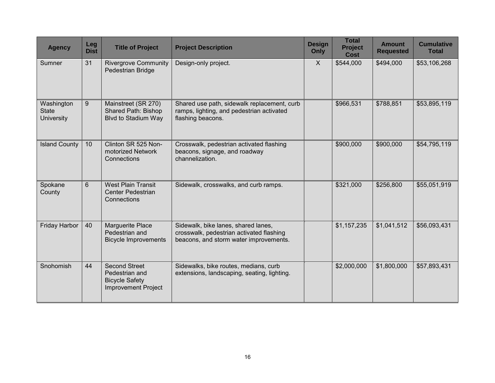| <b>Agency</b>                                   | Leg<br><b>Dist</b> | <b>Title of Project</b>                                                                       | <b>Project Description</b>                                                                                                | <b>Design</b><br>Only | <b>Total</b><br><b>Project</b><br><b>Cost</b> | <b>Amount</b><br><b>Requested</b> | <b>Cumulative</b><br><b>Total</b> |
|-------------------------------------------------|--------------------|-----------------------------------------------------------------------------------------------|---------------------------------------------------------------------------------------------------------------------------|-----------------------|-----------------------------------------------|-----------------------------------|-----------------------------------|
| Sumner                                          | 31                 | <b>Rivergrove Community</b><br>Pedestrian Bridge                                              | Design-only project.                                                                                                      | $\mathsf{X}$          | \$544,000                                     | \$494,000                         | \$53,106,268                      |
| Washington<br><b>State</b><br><b>University</b> | 9                  | Mainstreet (SR 270)<br>Shared Path: Bishop<br><b>Blvd to Stadium Way</b>                      | Shared use path, sidewalk replacement, curb<br>ramps, lighting, and pedestrian activated<br>flashing beacons.             |                       | \$966,531                                     | \$788,851                         | \$53,895,119                      |
| <b>Island County</b>                            | 10                 | Clinton SR 525 Non-<br>motorized Network<br>Connections                                       | Crosswalk, pedestrian activated flashing<br>beacons, signage, and roadway<br>channelization.                              |                       | \$900,000                                     | \$900,000                         | \$54,795,119                      |
| Spokane<br>County                               | 6                  | <b>West Plain Transit</b><br><b>Center Pedestrian</b><br>Connections                          | Sidewalk, crosswalks, and curb ramps.                                                                                     |                       | \$321,000                                     | \$256,800                         | \$55,051,919                      |
| Friday Harbor                                   | 40                 | Marguerite Place<br>Pedestrian and<br><b>Bicycle Improvements</b>                             | Sidewalk, bike lanes, shared lanes,<br>crosswalk, pedestrian activated flashing<br>beacons, and storm water improvements. |                       | \$1,157,235                                   | \$1,041,512                       | \$56,093,431                      |
| Snohomish                                       | 44                 | <b>Second Street</b><br>Pedestrian and<br><b>Bicycle Safety</b><br><b>Improvement Project</b> | Sidewalks, bike routes, medians, curb<br>extensions, landscaping, seating, lighting.                                      |                       | \$2,000,000                                   | \$1,800,000                       | \$57,893,431                      |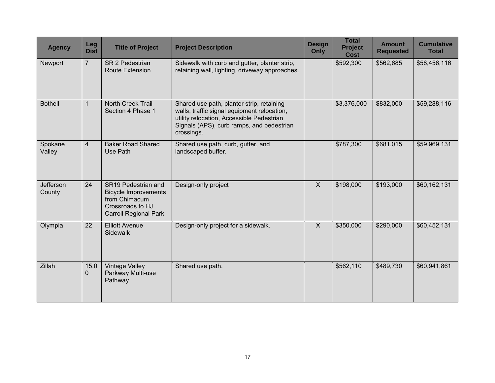| <b>Agency</b>       | Leg<br><b>Dist</b> | <b>Title of Project</b>                                                                                                 | <b>Project Description</b>                                                                                                                                                                       | <b>Design</b><br><b>Only</b> | <b>Total</b><br><b>Project</b><br><b>Cost</b> | <b>Amount</b><br><b>Requested</b> | <b>Cumulative</b><br><b>Total</b> |
|---------------------|--------------------|-------------------------------------------------------------------------------------------------------------------------|--------------------------------------------------------------------------------------------------------------------------------------------------------------------------------------------------|------------------------------|-----------------------------------------------|-----------------------------------|-----------------------------------|
| Newport             | $\overline{7}$     | <b>SR 2 Pedestrian</b><br><b>Route Extension</b>                                                                        | Sidewalk with curb and gutter, planter strip,<br>retaining wall, lighting, driveway approaches.                                                                                                  |                              | \$592,300                                     | \$562,685                         | \$58,456,116                      |
| <b>Bothell</b>      | 1                  | North Creek Trail<br>Section 4 Phase 1                                                                                  | Shared use path, planter strip, retaining<br>walls, traffic signal equipment relocation,<br>utility relocation, Accessible Pedestrian<br>Signals (APS), curb ramps, and pedestrian<br>crossings. |                              | \$3,376,000                                   | \$832,000                         | \$59,288,116                      |
| Spokane<br>Valley   | $\overline{4}$     | <b>Baker Road Shared</b><br>Use Path                                                                                    | Shared use path, curb, gutter, and<br>landscaped buffer.                                                                                                                                         |                              | \$787,300                                     | \$681,015                         | \$59,969,131                      |
| Jefferson<br>County | 24                 | SR19 Pedestrian and<br><b>Bicycle Improvements</b><br>from Chimacum<br>Crossroads to HJ<br><b>Carroll Regional Park</b> | Design-only project                                                                                                                                                                              | $\mathsf{X}$                 | \$198,000                                     | \$193,000                         | \$60,162,131                      |
| Olympia             | 22                 | <b>Elliott Avenue</b><br>Sidewalk                                                                                       | Design-only project for a sidewalk.                                                                                                                                                              | $\sf X$                      | \$350,000                                     | \$290,000                         | \$60,452,131                      |
| Zillah              | 15.0<br>0          | <b>Vintage Valley</b><br>Parkway Multi-use<br>Pathway                                                                   | Shared use path.                                                                                                                                                                                 |                              | \$562,110                                     | \$489,730                         | \$60,941,861                      |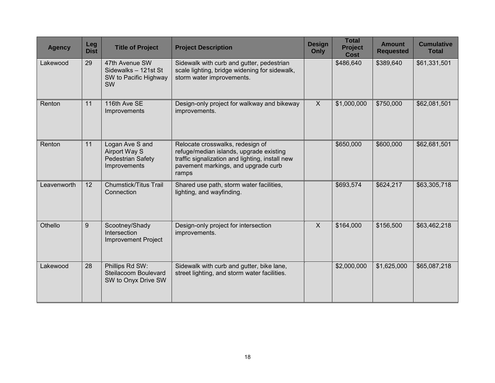| <b>Agency</b> | Leg<br><b>Dist</b> | <b>Title of Project</b>                                                             | <b>Project Description</b>                                                                                                                                                     | <b>Design</b><br>Only | <b>Total</b><br><b>Project</b><br><b>Cost</b> | <b>Amount</b><br><b>Requested</b> | <b>Cumulative</b><br><b>Total</b> |
|---------------|--------------------|-------------------------------------------------------------------------------------|--------------------------------------------------------------------------------------------------------------------------------------------------------------------------------|-----------------------|-----------------------------------------------|-----------------------------------|-----------------------------------|
| Lakewood      | 29                 | 47th Avenue SW<br>Sidewalks - 121st St<br>SW to Pacific Highway<br><b>SW</b>        | Sidewalk with curb and gutter, pedestrian<br>scale lighting, bridge widening for sidewalk,<br>storm water improvements.                                                        |                       | \$486,640                                     | \$389,640                         | \$61,331,501                      |
| Renton        | 11                 | 116th Ave SE<br>Improvements                                                        | Design-only project for walkway and bikeway<br>improvements.                                                                                                                   | $\mathsf{X}$          | \$1,000,000                                   | \$750,000                         | \$62,081,501                      |
| Renton        | 11                 | Logan Ave S and<br><b>Airport Way S</b><br><b>Pedestrian Safety</b><br>Improvements | Relocate crosswalks, redesign of<br>refuge/median islands, upgrade existing<br>traffic signalization and lighting, install new<br>pavement markings, and upgrade curb<br>ramps |                       | \$650,000                                     | \$600,000                         | \$62,681,501                      |
| Leavenworth   | 12                 | <b>Chumstick/Titus Trail</b><br>Connection                                          | Shared use path, storm water facilities,<br>lighting, and wayfinding.                                                                                                          |                       | \$693,574                                     | \$624,217                         | \$63,305,718                      |
| Othello       | 9                  | Scootney/Shady<br>Intersection<br><b>Improvement Project</b>                        | Design-only project for intersection<br>improvements.                                                                                                                          | $\mathsf{X}$          | \$164,000                                     | \$156,500                         | \$63,462,218                      |
| Lakewood      | 28                 | Phillips Rd SW:<br>Steilacoom Boulevard<br>SW to Onyx Drive SW                      | Sidewalk with curb and gutter, bike lane,<br>street lighting, and storm water facilities.                                                                                      |                       | \$2,000,000                                   | \$1,625,000                       | \$65,087,218                      |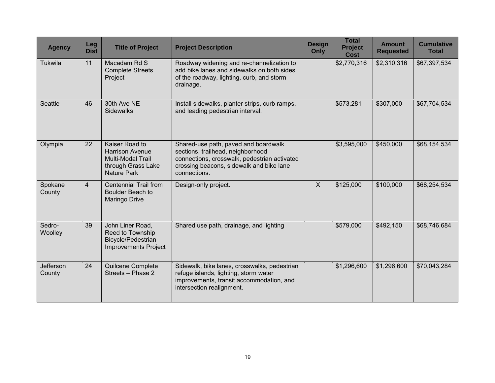| <b>Agency</b>       | Leg<br><b>Dist</b> | <b>Title of Project</b>                                                                                          | <b>Project Description</b>                                                                                                                                                            | <b>Design</b><br>Only | <b>Total</b><br><b>Project</b><br><b>Cost</b> | <b>Amount</b><br><b>Requested</b> | <b>Cumulative</b><br><b>Total</b> |
|---------------------|--------------------|------------------------------------------------------------------------------------------------------------------|---------------------------------------------------------------------------------------------------------------------------------------------------------------------------------------|-----------------------|-----------------------------------------------|-----------------------------------|-----------------------------------|
| Tukwila             | 11                 | Macadam Rd S<br><b>Complete Streets</b><br>Project                                                               | Roadway widening and re-channelization to<br>add bike lanes and sidewalks on both sides<br>of the roadway, lighting, curb, and storm<br>drainage.                                     |                       | \$2,770,316                                   | \$2,310,316                       | \$67,397,534                      |
| Seattle             | 46                 | 30th Ave NE<br><b>Sidewalks</b>                                                                                  | Install sidewalks, planter strips, curb ramps,<br>and leading pedestrian interval.                                                                                                    |                       | \$573,281                                     | \$307,000                         | \$67,704,534                      |
| Olympia             | 22                 | Kaiser Road to<br><b>Harrison Avenue</b><br><b>Multi-Modal Trail</b><br>through Grass Lake<br><b>Nature Park</b> | Shared-use path, paved and boardwalk<br>sections, trailhead, neighborhood<br>connections, crosswalk, pedestrian activated<br>crossing beacons, sidewalk and bike lane<br>connections. |                       | \$3,595,000                                   | \$450,000                         | \$68,154,534                      |
| Spokane<br>County   | $\overline{4}$     | <b>Centennial Trail from</b><br>Boulder Beach to<br>Maringo Drive                                                | Design-only project.                                                                                                                                                                  | $\mathsf{X}$          | \$125,000                                     | \$100,000                         | \$68,254,534                      |
| Sedro-<br>Woolley   | 39                 | John Liner Road,<br>Reed to Township<br><b>Bicycle/Pedestrian</b><br><b>Improvements Project</b>                 | Shared use path, drainage, and lighting                                                                                                                                               |                       | \$579,000                                     | \$492,150                         | \$68,746,684                      |
| Jefferson<br>County | 24                 | Quilcene Complete<br>Streets - Phase 2                                                                           | Sidewalk, bike lanes, crosswalks, pedestrian<br>refuge islands, lighting, storm water<br>improvements, transit accommodation, and<br>intersection realignment.                        |                       | \$1,296,600                                   | \$1,296,600                       | \$70,043,284                      |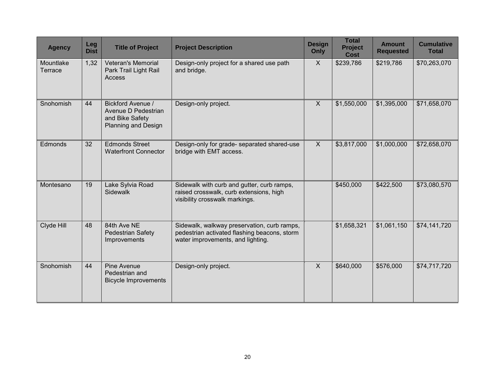| <b>Agency</b>        | <b>Leg</b><br><b>Dist</b> | <b>Title of Project</b>                                                                   | <b>Project Description</b>                                                                                                       | <b>Design</b><br>Only     | <b>Total</b><br><b>Project</b><br><b>Cost</b> | <b>Amount</b><br><b>Requested</b> | <b>Cumulative</b><br><b>Total</b> |
|----------------------|---------------------------|-------------------------------------------------------------------------------------------|----------------------------------------------------------------------------------------------------------------------------------|---------------------------|-----------------------------------------------|-----------------------------------|-----------------------------------|
| Mountlake<br>Terrace | 1,32                      | <b>Veteran's Memorial</b><br>Park Trail Light Rail<br>Access                              | Design-only project for a shared use path<br>and bridge.                                                                         | $\mathsf{X}$              | \$239,786                                     | \$219,786                         | \$70,263,070                      |
| Snohomish            | 44                        | Bickford Avenue /<br>Avenue D Pedestrian<br>and Bike Safety<br><b>Planning and Design</b> | Design-only project.                                                                                                             | $\boldsymbol{\mathsf{X}}$ | \$1,550,000                                   | \$1,395,000                       | \$71,658,070                      |
| Edmonds              | 32                        | <b>Edmonds Street</b><br><b>Waterfront Connector</b>                                      | Design-only for grade- separated shared-use<br>bridge with EMT access.                                                           | $\mathsf{X}$              | \$3,817,000                                   | \$1,000,000                       | \$72,658,070                      |
| Montesano            | 19                        | Lake Sylvia Road<br><b>Sidewalk</b>                                                       | Sidewalk with curb and gutter, curb ramps,<br>raised crosswalk, curb extensions, high<br>visibility crosswalk markings.          |                           | \$450,000                                     | \$422,500                         | \$73,080,570                      |
| Clyde Hill           | 48                        | 84th Ave NE<br>Pedestrian Safety<br>Improvements                                          | Sidewalk, walkway preservation, curb ramps,<br>pedestrian activated flashing beacons, storm<br>water improvements, and lighting. |                           | \$1,658,321                                   | \$1,061,150                       | \$74,141,720                      |
| Snohomish            | 44                        | Pine Avenue<br>Pedestrian and<br><b>Bicycle Improvements</b>                              | Design-only project.                                                                                                             | $\sf X$                   | \$640,000                                     | \$576,000                         | \$74,717,720                      |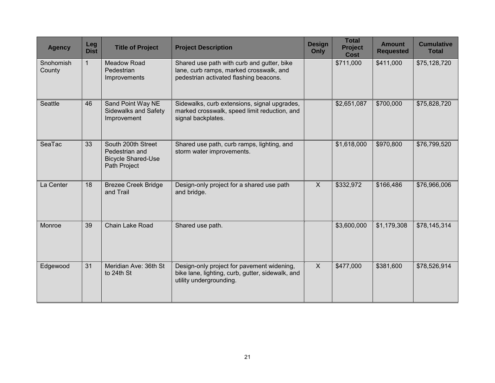| <b>Agency</b>       | Leg<br><b>Dist</b> | <b>Title of Project</b>                                                           | <b>Project Description</b>                                                                                                      | <b>Design</b><br>Only | <b>Total</b><br><b>Project</b><br><b>Cost</b> | <b>Amount</b><br><b>Requested</b> | <b>Cumulative</b><br><b>Total</b> |
|---------------------|--------------------|-----------------------------------------------------------------------------------|---------------------------------------------------------------------------------------------------------------------------------|-----------------------|-----------------------------------------------|-----------------------------------|-----------------------------------|
| Snohomish<br>County | 1                  | <b>Meadow Road</b><br>Pedestrian<br>Improvements                                  | Shared use path with curb and gutter, bike<br>lane, curb ramps, marked crosswalk, and<br>pedestrian activated flashing beacons. |                       | \$711,000                                     | \$411,000                         | \$75,128,720                      |
| <b>Seattle</b>      | 46                 | Sand Point Way NE<br><b>Sidewalks and Safety</b><br>Improvement                   | Sidewalks, curb extensions, signal upgrades,<br>marked crosswalk, speed limit reduction, and<br>signal backplates.              |                       | \$2,651,087                                   | \$700,000                         | \$75,828,720                      |
| SeaTac              | 33                 | South 200th Street<br>Pedestrian and<br><b>Bicycle Shared-Use</b><br>Path Project | Shared use path, curb ramps, lighting, and<br>storm water improvements.                                                         |                       | \$1,618,000                                   | \$970,800                         | \$76,799,520                      |
| La Center           | 18                 | <b>Brezee Creek Bridge</b><br>and Trail                                           | Design-only project for a shared use path<br>and bridge.                                                                        | $\mathsf{X}$          | \$332,972                                     | \$166,486                         | \$76,966,006                      |
| Monroe              | 39                 | Chain Lake Road                                                                   | Shared use path.                                                                                                                |                       | \$3,600,000                                   | \$1,179,308                       | \$78,145,314                      |
| Edgewood            | 31                 | Meridian Ave: 36th St<br>to 24th St                                               | Design-only project for pavement widening,<br>bike lane, lighting, curb, gutter, sidewalk, and<br>utility undergrounding.       | $\mathsf{X}$          | \$477,000                                     | \$381,600                         | \$78,526,914                      |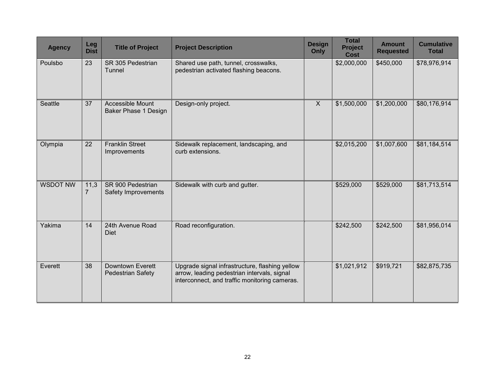| <b>Agency</b>   | Leg<br><b>Dist</b>     | <b>Title of Project</b>                         | <b>Project Description</b>                                                                                                                     | <b>Design</b><br>Only | <b>Total</b><br><b>Project</b><br><b>Cost</b> | <b>Amount</b><br><b>Requested</b> | <b>Cumulative</b><br><b>Total</b> |
|-----------------|------------------------|-------------------------------------------------|------------------------------------------------------------------------------------------------------------------------------------------------|-----------------------|-----------------------------------------------|-----------------------------------|-----------------------------------|
| Poulsbo         | 23                     | SR 305 Pedestrian<br>Tunnel                     | Shared use path, tunnel, crosswalks,<br>pedestrian activated flashing beacons.                                                                 |                       | \$2,000,000                                   | \$450,000                         | \$78,976,914                      |
| Seattle         | 37                     | Accessible Mount<br><b>Baker Phase 1 Design</b> | Design-only project.                                                                                                                           | $\overline{X}$        | \$1,500,000                                   | \$1,200,000                       | \$80,176,914                      |
| Olympia         | 22                     | <b>Franklin Street</b><br>Improvements          | Sidewalk replacement, landscaping, and<br>curb extensions.                                                                                     |                       | \$2,015,200                                   | \$1,007,600                       | \$81,184,514                      |
| <b>WSDOT NW</b> | 11,3<br>$\overline{7}$ | SR 900 Pedestrian<br>Safety Improvements        | Sidewalk with curb and gutter.                                                                                                                 |                       | \$529,000                                     | \$529,000                         | \$81,713,514                      |
| Yakima          | 14                     | 24th Avenue Road<br><b>Diet</b>                 | Road reconfiguration.                                                                                                                          |                       | \$242,500                                     | \$242,500                         | \$81,956,014                      |
| Everett         | 38                     | Downtown Everett<br><b>Pedestrian Safety</b>    | Upgrade signal infrastructure, flashing yellow<br>arrow, leading pedestrian intervals, signal<br>interconnect, and traffic monitoring cameras. |                       | \$1,021,912                                   | \$919,721                         | \$82,875,735                      |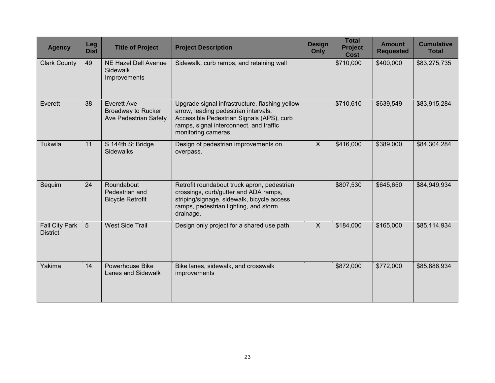| <b>Agency</b>                            | Leg<br><b>Dist</b> | <b>Title of Project</b>                                                          | <b>Project Description</b>                                                                                                                                                                            | <b>Design</b><br>Only | <b>Total</b><br><b>Project</b><br><b>Cost</b> | <b>Amount</b><br><b>Requested</b> | <b>Cumulative</b><br><b>Total</b> |
|------------------------------------------|--------------------|----------------------------------------------------------------------------------|-------------------------------------------------------------------------------------------------------------------------------------------------------------------------------------------------------|-----------------------|-----------------------------------------------|-----------------------------------|-----------------------------------|
| <b>Clark County</b>                      | 49                 | <b>NE Hazel Dell Avenue</b><br><b>Sidewalk</b><br>Improvements                   | Sidewalk, curb ramps, and retaining wall                                                                                                                                                              |                       | \$710,000                                     | \$400,000                         | \$83,275,735                      |
| Everett                                  | 38                 | <b>Everett Ave-</b><br><b>Broadway to Rucker</b><br><b>Ave Pedestrian Safety</b> | Upgrade signal infrastructure, flashing yellow<br>arrow, leading pedestrian intervals,<br>Accessible Pedestrian Signals (APS), curb<br>ramps, signal interconnect, and traffic<br>monitoring cameras. |                       | \$710,610                                     | \$639,549                         | \$83,915,284                      |
| Tukwila                                  | 11                 | S 144th St Bridge<br><b>Sidewalks</b>                                            | Design of pedestrian improvements on<br>overpass.                                                                                                                                                     | $\mathsf{X}$          | \$416,000                                     | \$389,000                         | \$84,304,284                      |
| Sequim                                   | 24                 | Roundabout<br>Pedestrian and<br><b>Bicycle Retrofit</b>                          | Retrofit roundabout truck apron, pedestrian<br>crossings, curb/gutter and ADA ramps,<br>striping/signage, sidewalk, bicycle access<br>ramps, pedestrian lighting, and storm<br>drainage.              |                       | \$807,530                                     | \$645,650                         | \$84,949,934                      |
| <b>Fall City Park</b><br><b>District</b> | 5                  | <b>West Side Trail</b>                                                           | Design only project for a shared use path.                                                                                                                                                            | $\mathsf{X}$          | \$184,000                                     | \$165,000                         | \$85,114,934                      |
| Yakima                                   | 14                 | Powerhouse Bike<br>Lanes and Sidewalk                                            | Bike lanes, sidewalk, and crosswalk<br>improvements                                                                                                                                                   |                       | \$872,000                                     | \$772,000                         | \$85,886,934                      |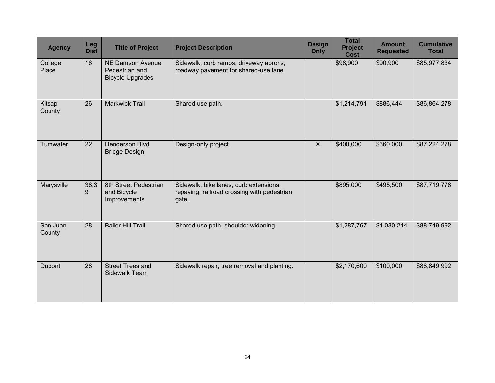| <b>Agency</b>      | Leg<br><b>Dist</b> | <b>Title of Project</b>                                              | <b>Project Description</b>                                                                     | <b>Design</b><br>Only | <b>Total</b><br><b>Project</b><br><b>Cost</b> | <b>Amount</b><br><b>Requested</b> | <b>Cumulative</b><br><b>Total</b> |
|--------------------|--------------------|----------------------------------------------------------------------|------------------------------------------------------------------------------------------------|-----------------------|-----------------------------------------------|-----------------------------------|-----------------------------------|
| College<br>Place   | 16                 | <b>NE Damson Avenue</b><br>Pedestrian and<br><b>Bicycle Upgrades</b> | Sidewalk, curb ramps, driveway aprons,<br>roadway pavement for shared-use lane.                |                       | \$98,900                                      | \$90,900                          | \$85,977,834                      |
| Kitsap<br>County   | 26                 | <b>Markwick Trail</b>                                                | Shared use path.                                                                               |                       | \$1,214,791                                   | \$886,444                         | \$86,864,278                      |
| Tumwater           | 22                 | Henderson Blvd<br><b>Bridge Design</b>                               | Design-only project.                                                                           | $\sf X$               | \$400,000                                     | \$360,000                         | \$87,224,278                      |
| Marysville         | 38,3<br>9          | 8th Street Pedestrian<br>and Bicycle<br>Improvements                 | Sidewalk, bike lanes, curb extensions,<br>repaving, railroad crossing with pedestrian<br>gate. |                       | \$895,000                                     | \$495,500                         | \$87,719,778                      |
| San Juan<br>County | 28                 | <b>Bailer Hill Trail</b>                                             | Shared use path, shoulder widening.                                                            |                       | \$1,287,767                                   | \$1,030,214                       | \$88,749,992                      |
| Dupont             | 28                 | <b>Street Trees and</b><br>Sidewalk Team                             | Sidewalk repair, tree removal and planting.                                                    |                       | \$2,170,600                                   | \$100,000                         | \$88,849,992                      |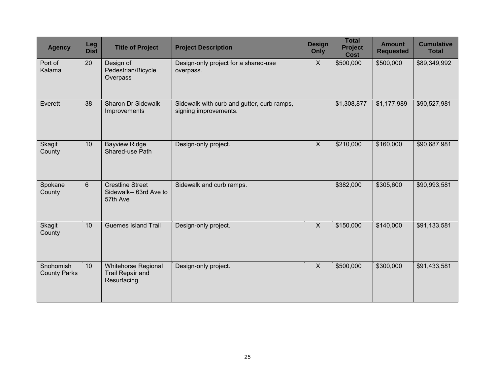| <b>Agency</b>                    | Leg<br><b>Dist</b> | <b>Title of Project</b>                                       | <b>Project Description</b>                                          | <b>Design</b><br>Only     | <b>Total</b><br><b>Project</b><br><b>Cost</b> | <b>Amount</b><br><b>Requested</b> | <b>Cumulative</b><br><b>Total</b> |
|----------------------------------|--------------------|---------------------------------------------------------------|---------------------------------------------------------------------|---------------------------|-----------------------------------------------|-----------------------------------|-----------------------------------|
| Port of<br>Kalama                | 20                 | Design of<br>Pedestrian/Bicycle<br>Overpass                   | Design-only project for a shared-use<br>overpass.                   | $\mathsf{X}$              | \$500,000                                     | \$500,000                         | \$89,349,992                      |
| Everett                          | 38                 | <b>Sharon Dr Sidewalk</b><br>Improvements                     | Sidewalk with curb and gutter, curb ramps,<br>signing improvements. |                           | \$1,308,877                                   | \$1,177,989                       | \$90,527,981                      |
| Skagit<br>County                 | 10                 | <b>Bayview Ridge</b><br>Shared-use Path                       | Design-only project.                                                | $\boldsymbol{\mathsf{X}}$ | \$210,000                                     | \$160,000                         | \$90,687,981                      |
| Spokane<br>County                | 6                  | <b>Crestline Street</b><br>Sidewalk-- 63rd Ave to<br>57th Ave | Sidewalk and curb ramps.                                            |                           | \$382,000                                     | \$305,600                         | \$90,993,581                      |
| Skagit<br>County                 | 10                 | <b>Guemes Island Trail</b>                                    | Design-only project.                                                | $\mathsf{X}$              | \$150,000                                     | \$140,000                         | \$91,133,581                      |
| Snohomish<br><b>County Parks</b> | 10                 | Whitehorse Regional<br><b>Trail Repair and</b><br>Resurfacing | Design-only project.                                                | $\mathsf{X}$              | \$500,000                                     | \$300,000                         | \$91,433,581                      |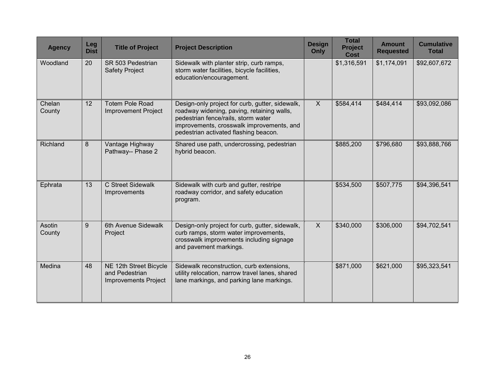| <b>Agency</b>           | Leg<br><b>Dist</b> | <b>Title of Project</b>                                                 | <b>Project Description</b>                                                                                                                                                                                                 | <b>Design</b><br>Only | <b>Total</b><br><b>Project</b><br><b>Cost</b> | <b>Amount</b><br><b>Requested</b> | <b>Cumulative</b><br><b>Total</b> |
|-------------------------|--------------------|-------------------------------------------------------------------------|----------------------------------------------------------------------------------------------------------------------------------------------------------------------------------------------------------------------------|-----------------------|-----------------------------------------------|-----------------------------------|-----------------------------------|
| Woodland                | 20                 | SR 503 Pedestrian<br><b>Safety Project</b>                              | Sidewalk with planter strip, curb ramps,<br>storm water facilities, bicycle facilities,<br>education/encouragement.                                                                                                        |                       | \$1,316,591                                   | \$1,174,091                       | \$92,607,672                      |
| Chelan<br>County        | 12                 | <b>Totem Pole Road</b><br><b>Improvement Project</b>                    | Design-only project for curb, gutter, sidewalk,<br>roadway widening, paving, retaining walls,<br>pedestrian fence/rails, storm water<br>improvements, crosswalk improvements, and<br>pedestrian activated flashing beacon. | $\mathsf{X}$          | \$584,414                                     | \$484,414                         | \$93,092,086                      |
| Richland                | 8                  | Vantage Highway<br>Pathway-- Phase 2                                    | Shared use path, undercrossing, pedestrian<br>hybrid beacon.                                                                                                                                                               |                       | \$885,200                                     | \$796,680                         | \$93,888,766                      |
| Ephrata                 | 13                 | C Street Sidewalk<br>Improvements                                       | Sidewalk with curb and gutter, restripe<br>roadway corridor, and safety education<br>program.                                                                                                                              |                       | \$534,500                                     | \$507,775                         | \$94,396,541                      |
| <b>Asotin</b><br>County | 9                  | 6th Avenue Sidewalk<br>Project                                          | Design-only project for curb, gutter, sidewalk,<br>curb ramps, storm water improvements,<br>crosswalk improvements including signage<br>and pavement markings.                                                             | $\mathsf{X}$          | \$340,000                                     | \$306,000                         | \$94,702,541                      |
| Medina                  | 48                 | NE 12th Street Bicycle<br>and Pedestrian<br><b>Improvements Project</b> | Sidewalk reconstruction, curb extensions,<br>utility relocation, narrow travel lanes, shared<br>lane markings, and parking lane markings.                                                                                  |                       | \$871,000                                     | \$621,000                         | \$95,323,541                      |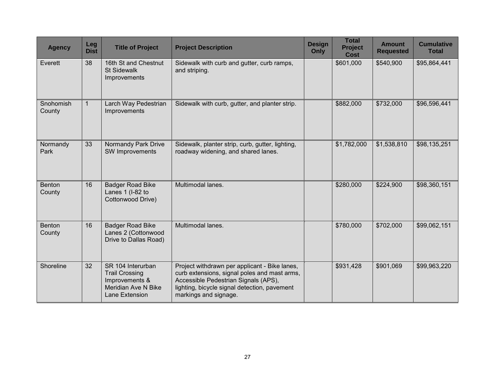| <b>Agency</b>           | Leg<br><b>Dist</b> | <b>Title of Project</b>                                                                               | <b>Project Description</b>                                                                                                                                                                                     | <b>Design</b><br>Only | <b>Total</b><br><b>Project</b><br><b>Cost</b> | <b>Amount</b><br><b>Requested</b> | <b>Cumulative</b><br><b>Total</b> |
|-------------------------|--------------------|-------------------------------------------------------------------------------------------------------|----------------------------------------------------------------------------------------------------------------------------------------------------------------------------------------------------------------|-----------------------|-----------------------------------------------|-----------------------------------|-----------------------------------|
| Everett                 | 38                 | 16th St and Chestnut<br><b>St Sidewalk</b><br>Improvements                                            | Sidewalk with curb and gutter, curb ramps,<br>and striping.                                                                                                                                                    |                       | \$601,000                                     | \$540,900                         | \$95,864,441                      |
| Snohomish<br>County     |                    | Larch Way Pedestrian<br>Improvements                                                                  | Sidewalk with curb, gutter, and planter strip.                                                                                                                                                                 |                       | \$882,000                                     | \$732,000                         | \$96,596,441                      |
| Normandy<br>Park        | 33                 | Normandy Park Drive<br>SW Improvements                                                                | Sidewalk, planter strip, curb, gutter, lighting,<br>roadway widening, and shared lanes.                                                                                                                        |                       | \$1,782,000                                   | \$1,538,810                       | \$98,135,251                      |
| <b>Benton</b><br>County | 16                 | <b>Badger Road Bike</b><br>Lanes 1 (I-82 to<br>Cottonwood Drive)                                      | Multimodal lanes.                                                                                                                                                                                              |                       | \$280,000                                     | \$224,900                         | \$98,360,151                      |
| <b>Benton</b><br>County | 16                 | <b>Badger Road Bike</b><br>Lanes 2 (Cottonwood<br>Drive to Dallas Road)                               | Multimodal lanes.                                                                                                                                                                                              |                       | \$780,000                                     | \$702,000                         | \$99,062,151                      |
| Shoreline               | 32                 | SR 104 Interurban<br><b>Trail Crossing</b><br>Improvements &<br>Meridian Ave N Bike<br>Lane Extension | Project withdrawn per applicant - Bike lanes,<br>curb extensions, signal poles and mast arms,<br>Accessible Pedestrian Signals (APS),<br>lighting, bicycle signal detection, pavement<br>markings and signage. |                       | \$931,428                                     | \$901,069                         | \$99,963,220                      |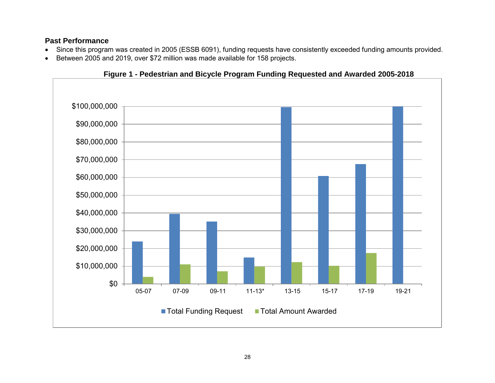### <span id="page-29-0"></span>**Past Performance**

- Since this program was created in 2005 (ESSB 6091), funding requests have consistently exceeded funding amounts provided.
- Between 2005 and 2019, over \$72 million was made available for 158 projects.

<span id="page-29-1"></span>

**Figure 1 - Pedestrian and Bicycle Program Funding Requested and Awarded 2005-2018**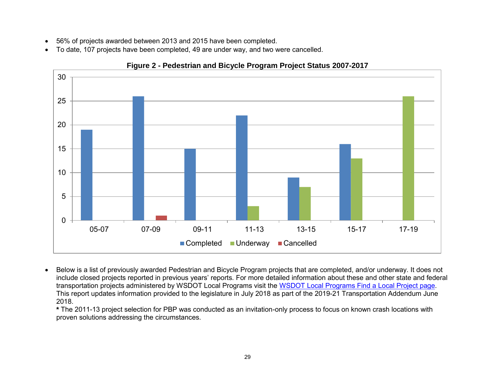- 56% of projects awarded between 2013 and 2015 have been completed.
- To date, 107 projects have been completed, 49 are under way, and two were cancelled.

<span id="page-30-0"></span>

**Figure 2 - Pedestrian and Bicycle Program Project Status 2007-2017**

 Below is a list of previously awarded Pedestrian and Bicycle Program projects that are completed, and/or underway. It does not include closed projects reported in previous years' reports. For more detailed information about these and other state and federal transportation projects administered by [WSDOT Local](http://webpub1.wsdot.wa.gov/LocalPrograms/Projects/Dashboard/ProjectMapWA.aspx) Programs visit the WSDOT Local Programs Find a Local Project page. This report updates information provided to the legislature in July 2018 as part of the 2019-21 Transportation Addendum June 2018.

**\*** The 2011-13 project selection for PBP was conducted as an invitation-only process to focus on known crash locations with proven solutions addressing the circumstances.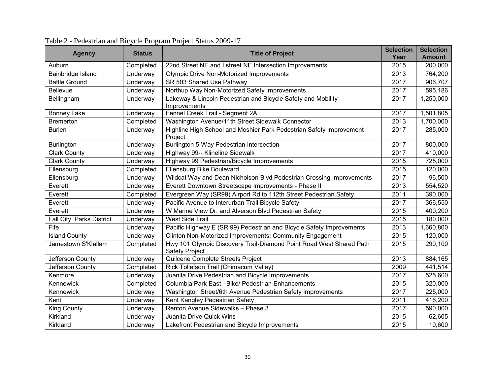<span id="page-31-1"></span>

| <b>Agency</b>                   | <b>Status</b>   | <b>Title of Project</b>                                                                      | <b>Selection</b><br>Year | <b>Selection</b><br><b>Amount</b> |
|---------------------------------|-----------------|----------------------------------------------------------------------------------------------|--------------------------|-----------------------------------|
| Auburn                          | Completed       | 22nd Street NE and I street NE Intersection Improvements                                     | 2015                     | 200,000                           |
| Bainbridge Island               | Underway        | <b>Olympic Drive Non-Motorized Improvements</b>                                              | 2013                     | 764,200                           |
| <b>Battle Ground</b>            | <b>Underway</b> | SR 503 Shared Use Pathway                                                                    | 2017                     | 906,707                           |
| Bellevue                        | Underway        | Northup Way Non-Motorized Safety Improvements                                                | 2017                     | 595,186                           |
| Bellingham                      | Underway        | Lakeway & Lincoln Pedestrian and Bicycle Safety and Mobility<br>Improvements                 | 2017                     | 1,250,000                         |
| Bonney Lake                     | <b>Underway</b> | Fennel Creek Trail - Segment 2A                                                              | 2017                     | 1,501,805                         |
| <b>Bremerton</b>                | Completed       | Washington Avenue/11th Street Sidewalk Connector                                             | 2013                     | 1,700,000                         |
| <b>Burien</b>                   | Underway        | Highline High School and Moshier Park Pedestrian Safety Improvement<br>Project               | 2017                     | 285,000                           |
| Burlington                      | Underway        | Burlington 5-Way Pedestrian Intersection                                                     | 2017                     | 800,000                           |
| <b>Clark County</b>             | Underway        | Highway 99-- Klineline Sidewalk                                                              | 2017                     | 410,000                           |
| <b>Clark County</b>             | Underway        | Highway 99 Pedestrian/Bicycle Improvements                                                   | 2015                     | 725,000                           |
| Ellensburg                      | Completed       | Ellensburg Bike Boulevard                                                                    | 2015                     | 120,000                           |
| Ellensburg                      | Underway        | Wildcat Way and Dean Nicholson Blvd Pedestrian Crossing Improvements                         | 2017                     | 96,500                            |
| Everett                         | Underway        | Everett Downtown Streetscape Improvements - Phase II                                         | 2013                     | 554,520                           |
| Everett                         | Completed       | Evergreen Way (SR99) Airport Rd to 112th Street Pedestrian Safety                            | 2011                     | 390,000                           |
| Everett                         | Underway        | Pacific Avenue to Interurban Trail Bicycle Safety                                            | 2017                     | 366,550                           |
| Everett                         | Underway        | W Marine View Dr. and Alverson Blvd Pedestrian Safety                                        | 2015                     | 400,200                           |
| <b>Fall City Parks District</b> | Underway        | <b>West Side Trail</b>                                                                       | 2015                     | 180,000                           |
| Fife                            | Underway        | Pacific Highway E (SR 99) Pedestrian and Bicycle Safety Improvements                         | 2013                     | 1,660,800                         |
| <b>Island County</b>            | Underway        | Clinton Non-Motorized Improvements: Community Engagement                                     | 2015                     | 120,000                           |
| Jamestown S'Klallam             | Completed       | Hwy 101 Olympic Discovery Trail-Diamond Point Road West Shared Path<br><b>Safety Project</b> | 2015                     | 290,100                           |
| Jefferson County                | Underway        | Quilcene Complete Streets Project                                                            | 2013                     | 884,165                           |
| Jefferson County                | Completed       | Rick Tollefson Trail (Chimacum Valley)                                                       | 2009                     | 441,514                           |
| Kenmore                         | Underway        | Juanita Drive Pedestrian and Bicycle Improvements                                            | 2017                     | 525,600                           |
| Kennewick                       | Completed       | Columbia Park East -Bike/ Pedestrian Enhancements                                            | 2015                     | 320,000                           |
| Kennewick                       | Underway        | Washington Street/6th Avenue Pedestrian Safety Improvements                                  | 2017                     | 225,000                           |
| Kent                            | Underway        | Kent Kangley Pedestrian Safety                                                               | 2011                     | 416,200                           |
| <b>King County</b>              | Underway        | Renton Avenue Sidewalks - Phase 3                                                            | 2017                     | 590,000                           |
| Kirkland                        | Underway        | Juanita Drive Quick Wins                                                                     | 2015                     | 62,605                            |
| Kirkland                        | Underway        | Lakefront Pedestrian and Bicycle Improvements                                                | 2015                     | 10,600                            |

# <span id="page-31-0"></span>Table 2 - Pedestrian and Bicycle Program Project Status 2009-17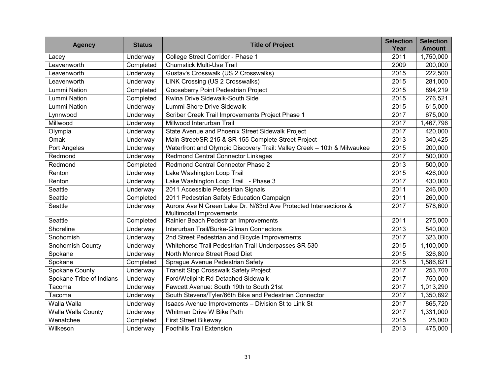| <b>Agency</b>            | <b>Status</b>   | <b>Title of Project</b>                                                                     | <b>Selection</b><br>Year | <b>Selection</b><br><b>Amount</b> |
|--------------------------|-----------------|---------------------------------------------------------------------------------------------|--------------------------|-----------------------------------|
| Lacey                    | Underway        | College Street Corridor - Phase 1                                                           | 2011                     | 1,750,000                         |
| Leavenworth              | Completed       | <b>Chumstick Multi-Use Trail</b>                                                            | 2009                     | 200,000                           |
| Leavenworth              | Underway        | Gustav's Crosswalk (US 2 Crosswalks)                                                        | 2015                     | 222,500                           |
| Leavenworth              | Underway        | <b>LINK Crossing (US 2 Crosswalks)</b>                                                      | 2015                     | 281,000                           |
| <b>Lummi Nation</b>      | Completed       | Gooseberry Point Pedestrian Project                                                         | 2015                     | 894,219                           |
| <b>Lummi Nation</b>      | Completed       | Kwina Drive Sidewalk-South Side                                                             | 2015                     | 276,521                           |
| <b>Lummi Nation</b>      | Underway        | Lummi Shore Drive Sidewalk                                                                  | 2015                     | 615,000                           |
| Lynnwood                 | Underway        | Scriber Creek Trail Improvements Project Phase 1                                            | 2017                     | 675,000                           |
| Millwood                 | Underway        | Millwood Interurban Trail                                                                   | 2017                     | 1,467,796                         |
| Olympia                  | Underway        | State Avenue and Phoenix Street Sidewalk Project                                            | 2017                     | 420,000                           |
| Omak                     | Underway        | Main Street/SR 215 & SR 155 Complete Street Project                                         | 2013                     | 340,425                           |
| Port Angeles             | Underway        | Waterfront and Olympic Discovery Trail: Valley Creek - 10th & Milwaukee                     | 2015                     | 200,000                           |
| Redmond                  | Underway        | <b>Redmond Central Connector Linkages</b>                                                   | 2017                     | 500,000                           |
| Redmond                  | Completed       | Redmond Central Connector Phase 2                                                           | 2013                     | 500,000                           |
| Renton                   | Underway        | Lake Washington Loop Trail                                                                  | $\overline{20}$ 15       | 426,000                           |
| Renton                   | <b>Underway</b> | Lake Washington Loop Trail - Phase 3                                                        | 2017                     | 430,000                           |
| Seattle                  | Underway        | 2011 Accessible Pedestrian Signals                                                          | 2011                     | 246,000                           |
| Seattle                  | Completed       | 2011 Pedestrian Safety Education Campaign                                                   | 2011                     | 260,000                           |
| Seattle                  | Underway        | Aurora Ave N Green Lake Dr. N/83rd Ave Protected Intersections &<br>Multimodal Improvements | 2017                     | 578,600                           |
| Seattle                  | Completed       | Rainier Beach Pedestrian Improvements                                                       | 2011                     | 275,000                           |
| Shoreline                | Underway        | Interurban Trail/Burke-Gilman Connectors                                                    | 2013                     | 540,000                           |
| Snohomish                | Underway        | 2nd Street Pedestrian and Bicycle Improvements                                              | 2017                     | 323,000                           |
| <b>Snohomish County</b>  | Underway        | Whitehorse Trail Pedestrian Trail Underpasses SR 530                                        | 2015                     | 1,100,000                         |
| Spokane                  | Underway        | North Monroe Street Road Diet                                                               | 2015                     | 326,800                           |
| Spokane                  | Completed       | Sprague Avenue Pedestrian Safety                                                            | 2015                     | 1,586,821                         |
| Spokane County           | Underway        | <b>Transit Stop Crosswalk Safety Project</b>                                                | 2017                     | 253,700                           |
| Spokane Tribe of Indians | Underway        | Ford/Wellpinit Rd Detached Sidewalk                                                         | 2017                     | 750,000                           |
| Tacoma                   | Underway        | Fawcett Avenue: South 19th to South 21st                                                    | 2017                     | 1,013,290                         |
| Tacoma                   | Underway        | South Stevens/Tyler/66th Bike and Pedestrian Connector                                      | 2017                     | 1,350,892                         |
| Walla Walla              | Underway        | Isaacs Avenue Improvements - Division St to Link St                                         | 2017                     | 865,720                           |
| Walla Walla County       | Underway        | Whitman Drive W Bike Path                                                                   | 2017                     | 1,331,000                         |
| Wenatchee                | Completed       | <b>First Street Bikeway</b>                                                                 | 2015                     | 25,000                            |
| Wilkeson                 | Underway        | <b>Foothills Trail Extension</b>                                                            | 2013                     | 475,000                           |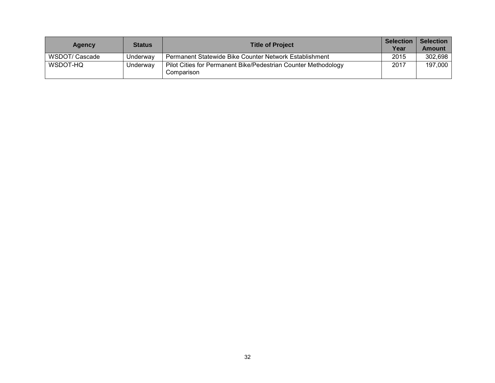| Agency         | <b>Status</b> | <b>Title of Project</b>                                                      | <b>Selection</b><br>Year | <b>Selection</b><br><b>Amount</b> |
|----------------|---------------|------------------------------------------------------------------------------|--------------------------|-----------------------------------|
| WSDOT/ Cascade | Underwav      | Permanent Statewide Bike Counter Network Establishment                       | 2015                     | 302,698                           |
| WSDOT-HQ       | Underway      | Pilot Cities for Permanent Bike/Pedestrian Counter Methodology<br>Comparison | 2017                     | 197,000                           |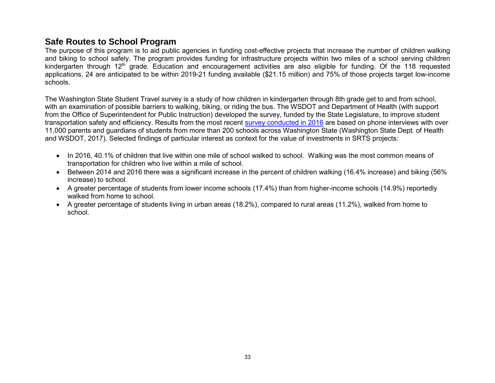## **Safe Routes to School Program**

The purpose of this program is to aid public agencies in funding cost-effective projects that increase the number of children walking and biking to school safely. The program provides funding for infrastructure projects within two miles of a school serving children kindergarten through 12<sup>th</sup> grade. Education and encouragement activities are also eligible for funding. Of the 118 requested applications, 24 are anticipated to be within 2019-21 funding available (\$21.15 million) and 75% of those projects target low-income schools.

The Washington State Student Travel survey is a study of how children in kindergarten through 8th grade get to and from school, with an examination of possible barriers to walking, biking, or riding the bus. The WSDOT and Department of Health (with support from the Office of Superintendent for Public Instruction) developed the survey, funded by the State Legislature, to improve student transportation safety and efficiency. Results from the most recent [survey conducted in 2016](https://wsdot.wa.gov/sites/default/files/2009/01/09/ATP_WA-2016-Student-Travel-Survey-Report.pdf) are based on phone interviews with over 11,000 parents and guardians of students from more than 200 schools across Washington State (Washington State Dept. of Health and WSDOT, 2017). Selected findings of particular interest as context for the value of investments in SRTS projects:

- In 2016, 40.1% of children that live within one mile of school walked to school. Walking was the most common means of transportation for children who live within a mile of school.
- Between 2014 and 2016 there was a significant increase in the percent of children walking (16.4% increase) and biking (56% increase) to school.
- A greater percentage of students from lower income schools (17.4%) than from higher-income schools (14.9%) reportedly walked from home to school
- A greater percentage of students living in urban areas (18.2%), compared to rural areas (11.2%), walked from home to school.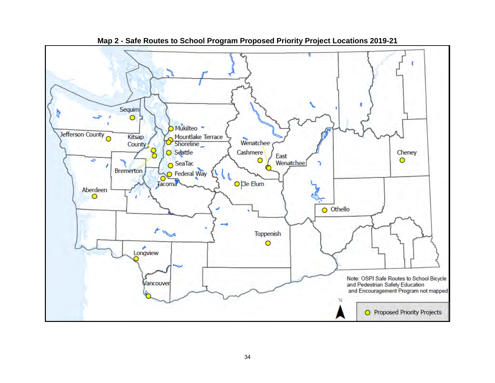<span id="page-35-0"></span>

**Map 2 - Safe Routes to School Program Proposed Priority Project Locations 2019-21**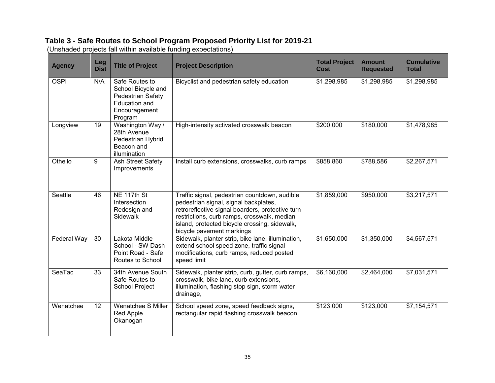## <span id="page-36-0"></span>**Table 3 - Safe Routes to School Program Proposed Priority List for 2019-21**

|  |  |  | (Unshaded projects fall within available funding expectations) |
|--|--|--|----------------------------------------------------------------|
|  |  |  |                                                                |
|  |  |  |                                                                |
|  |  |  |                                                                |

| <b>Agency</b> | Leg<br><b>Dist</b> | <b>Title of Project</b>                                                                                       | <b>Project Description</b>                                                                                                                                                                                                                                              | <b>Total Project</b><br>Cost | Amount<br><b>Requested</b> | <b>Cumulative</b><br><b>Total</b> |
|---------------|--------------------|---------------------------------------------------------------------------------------------------------------|-------------------------------------------------------------------------------------------------------------------------------------------------------------------------------------------------------------------------------------------------------------------------|------------------------------|----------------------------|-----------------------------------|
| <b>OSPI</b>   | N/A                | Safe Routes to<br>School Bicycle and<br>Pedestrian Safety<br><b>Education and</b><br>Encouragement<br>Program | Bicyclist and pedestrian safety education                                                                                                                                                                                                                               | \$1,298,985                  | \$1,298,985                | \$1,298,985                       |
| Longview      | 19                 | Washington Way /<br>28th Avenue<br>Pedestrian Hybrid<br>Beacon and<br>illumination                            | High-intensity activated crosswalk beacon                                                                                                                                                                                                                               | \$200,000                    | \$180,000                  | \$1,478,985                       |
| Othello       | 9                  | <b>Ash Street Safety</b><br>Improvements                                                                      | Install curb extensions, crosswalks, curb ramps                                                                                                                                                                                                                         | \$858,860                    | \$788,586                  | \$2,267,571                       |
| Seattle       | 46                 | NE 117th St<br>Intersection<br>Redesign and<br>Sidewalk                                                       | Traffic signal, pedestrian countdown, audible<br>pedestrian signal, signal backplates,<br>retroreflective signal boarders, protective turn<br>restrictions, curb ramps, crosswalk, median<br>island, protected bicycle crossing, sidewalk,<br>bicycle pavement markings | \$1,859,000                  | \$950,000                  | \$3,217,571                       |
| Federal Way   | 30                 | Lakota Middle<br>School - SW Dash<br>Point Road - Safe<br>Routes to School                                    | Sidewalk, planter strip, bike lane, illumination,<br>extend school speed zone, traffic signal<br>modifications, curb ramps, reduced posted<br>speed limit                                                                                                               | \$1,650,000                  | \$1,350,000                | \$4,567,571                       |
| SeaTac        | 33                 | 34th Avenue South<br>Safe Routes to<br>School Project                                                         | Sidewalk, planter strip, curb, gutter, curb ramps,<br>crosswalk, bike lane, curb extensions,<br>illumination, flashing stop sign, storm water<br>drainage,                                                                                                              | \$6,160,000                  | \$2,464,000                | \$7,031,571                       |
| Wenatchee     | 12                 | Wenatchee S Miller<br><b>Red Apple</b><br>Okanogan                                                            | School speed zone, speed feedback signs,<br>rectangular rapid flashing crosswalk beacon,                                                                                                                                                                                | \$123,000                    | \$123,000                  | \$7,154,571                       |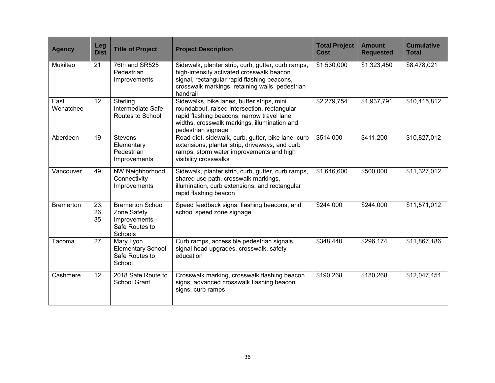| <b>Agency</b>     | Leg<br><b>Dist</b> | <b>Title of Project</b>                                                                      | <b>Project Description</b>                                                                                                                                                                                     | <b>Total Project</b><br><b>Cost</b> | <b>Amount</b><br><b>Requested</b> | <b>Cumulative</b><br><b>Total</b> |
|-------------------|--------------------|----------------------------------------------------------------------------------------------|----------------------------------------------------------------------------------------------------------------------------------------------------------------------------------------------------------------|-------------------------------------|-----------------------------------|-----------------------------------|
| Mukilteo          | 21                 | 76th and SR525<br>Pedestrian<br>Improvements                                                 | Sidewalk, planter strip, curb, gutter, curb ramps,<br>high-intensity activated crosswalk beacon<br>signal, rectangular rapid flashing beacons,<br>crosswalk markings, retaining walls, pedestrian<br>handrail  | \$1,530,000                         | \$1,323,450                       | \$8,478,021                       |
| East<br>Wenatchee | 12                 | Sterling<br>Intermediate Safe<br>Routes to School                                            | Sidewalks, bike lanes, buffer strips, mini<br>roundabout, raised intersection, rectangular<br>rapid flashing beacons, narrow travel lane<br>widths, crosswalk markings, illumination and<br>pedestrian signage | \$2,279,754                         | \$1,937,791                       | \$10,415,812                      |
| Aberdeen          | 19                 | <b>Stevens</b><br>Elementary<br>Pedestrian<br>Improvements                                   | Road diet, sidewalk, curb, gutter, bike lane, curb<br>extensions, planter strip, driveways, and curb<br>ramps, storm water improvements and high<br>visibility crosswalks                                      | \$514,000                           | \$411,200                         | \$10,827,012                      |
| Vancouver         | 49                 | <b>NW Neighborhood</b><br>Connectivity<br>Improvements                                       | Sidewalk, planter strip, curb, gutter, curb ramps,<br>shared use path, crosswalk markings,<br>illumination, curb extensions, and rectangular<br>rapid flashing beacon                                          | \$1,646,600                         | \$500,000                         | \$11,327,012                      |
| <b>Bremerton</b>  | 23,<br>26,<br>35   | <b>Bremerton School</b><br>Zone Safety<br>Improvements -<br>Safe Routes to<br><b>Schools</b> | Speed feedback signs, flashing beacons, and<br>school speed zone signage                                                                                                                                       | \$244,000                           | \$244,000                         | \$11,571,012                      |
| Tacoma            | 27                 | Mary Lyon<br><b>Elementary School</b><br>Safe Routes to<br>School                            | Curb ramps, accessible pedestrian signals,<br>signal head upgrades, crosswalk, safety<br>education                                                                                                             | \$348,440                           | \$296,174                         | \$11,867,186                      |
| Cashmere          | 12                 | 2018 Safe Route to<br><b>School Grant</b>                                                    | Crosswalk marking, crosswalk flashing beacon<br>signs, advanced crosswalk flashing beacon<br>signs, curb ramps                                                                                                 | \$190,268                           | \$180,268                         | \$12,047,454                      |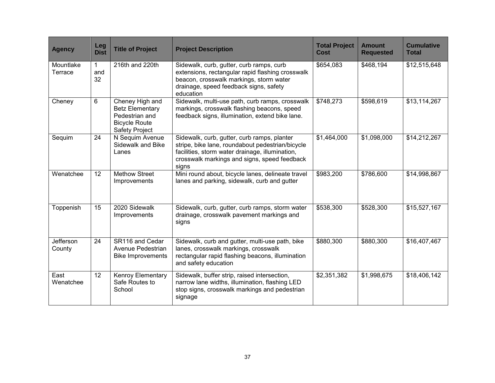| <b>Agency</b>        | Leg<br><b>Dist</b>        | <b>Title of Project</b>                                                                                      | <b>Project Description</b>                                                                                                                                                                                  | <b>Total Project</b><br><b>Cost</b> | <b>Amount</b><br><b>Requested</b> | <b>Cumulative</b><br><b>Total</b> |
|----------------------|---------------------------|--------------------------------------------------------------------------------------------------------------|-------------------------------------------------------------------------------------------------------------------------------------------------------------------------------------------------------------|-------------------------------------|-----------------------------------|-----------------------------------|
| Mountlake<br>Terrace | $\mathbf{1}$<br>and<br>32 | 216th and 220th                                                                                              | Sidewalk, curb, gutter, curb ramps, curb<br>extensions, rectangular rapid flashing crosswalk<br>beacon, crosswalk markings, storm water<br>drainage, speed feedback signs, safety<br>education              | \$654,083                           | \$468,194                         | \$12,515,648                      |
| Cheney               | 6                         | Cheney High and<br><b>Betz Elementary</b><br>Pedestrian and<br><b>Bicycle Route</b><br><b>Safety Project</b> | Sidewalk, multi-use path, curb ramps, crosswalk<br>markings, crosswalk flashing beacons, speed<br>feedback signs, illumination, extend bike lane.                                                           | \$748,273                           | \$598,619                         | \$13,114,267                      |
| Sequim               | 24                        | N Sequim Avenue<br>Sidewalk and Bike<br>Lanes                                                                | Sidewalk, curb, gutter, curb ramps, planter<br>stripe, bike lane, roundabout pedestrian/bicycle<br>facilities, storm water drainage, illumination,<br>crosswalk markings and signs, speed feedback<br>signs | \$1,464,000                         | \$1,098,000                       | \$14,212,267                      |
| Wenatchee            | 12 <sup>°</sup>           | <b>Methow Street</b><br>Improvements                                                                         | Mini round about, bicycle lanes, delineate travel<br>lanes and parking, sidewalk, curb and gutter                                                                                                           | \$983,200                           | \$786,600                         | \$14,998,867                      |
| Toppenish            | 15                        | 2020 Sidewalk<br>Improvements                                                                                | Sidewalk, curb, gutter, curb ramps, storm water<br>drainage, crosswalk pavement markings and<br>signs                                                                                                       | \$538,300                           | \$528,300                         | \$15,527,167                      |
| Jefferson<br>County  | 24                        | SR116 and Cedar<br>Avenue Pedestrian<br><b>Bike Improvements</b>                                             | Sidewalk, curb and gutter, multi-use path, bike<br>lanes, crosswalk markings, crosswalk<br>rectangular rapid flashing beacons, illumination<br>and safety education                                         | \$880,300                           | \$880,300                         | \$16,407,467                      |
| East<br>Wenatchee    | 12                        | Kenroy Elementary<br>Safe Routes to<br>School                                                                | Sidewalk, buffer strip, raised intersection,<br>narrow lane widths, illumination, flashing LED<br>stop signs, crosswalk markings and pedestrian<br>signage                                                  | \$2,351,382                         | \$1,998,675                       | \$18,406,142                      |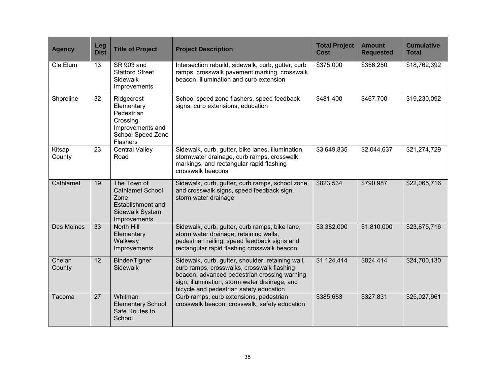| <b>Agency</b>     | Leg<br><b>Dist</b> | <b>Title of Project</b>                                                                                        | <b>Project Description</b>                                                                                                                                                                                                                  | <b>Total Project</b><br><b>Cost</b> | <b>Amount</b><br><b>Requested</b> | <b>Cumulative</b><br><b>Total</b> |
|-------------------|--------------------|----------------------------------------------------------------------------------------------------------------|---------------------------------------------------------------------------------------------------------------------------------------------------------------------------------------------------------------------------------------------|-------------------------------------|-----------------------------------|-----------------------------------|
| Cle Elum          | 13                 | SR 903 and<br><b>Stafford Street</b><br><b>Sidewalk</b><br>Improvements                                        | Intersection rebuild, sidewalk, curb, gutter, curb<br>ramps, crosswalk pavement marking, crosswalk<br>beacon, illumination and curb extension                                                                                               | \$375,000                           | \$356,250                         | \$18,762,392                      |
| Shoreline         | 32                 | Ridgecrest<br>Elementary<br>Pedestrian<br>Crossing<br>Improvements and<br><b>School Speed Zone</b><br>Flashers | School speed zone flashers, speed feedback<br>signs, curb extensions, education                                                                                                                                                             | \$481,400                           | \$467,700                         | \$19,230,092                      |
| Kitsap<br>County  | 23                 | <b>Central Valley</b><br>Road                                                                                  | Sidewalk, curb, gutter, bike lanes, illumination,<br>stormwater drainage, curb ramps, crosswalk<br>markings, and rectangular rapid flashing<br>crosswalk beacons                                                                            | \$3,649,835                         | \$2,044,637                       | \$21,274,729                      |
| Cathlamet         | 19                 | The Town of<br><b>Cathlamet School</b><br>Zone<br>Establishment and<br>Sidewalk System<br>Improvements         | Sidewalk, curb, gutter, curb ramps, school zone,<br>and crosswalk signs, speed feedback sign,<br>storm water drainage                                                                                                                       | \$823,534                           | \$790,987                         | \$22,065,716                      |
| <b>Des Moines</b> | 33                 | North Hill<br>Elementary<br>Walkway<br>Improvements                                                            | Sidewalk, curb, gutter, curb ramps, bike lane,<br>storm water drainage, retaining walls,<br>pedestrian railing, speed feedback signs and<br>rectangular rapid flashing crosswalk beacon                                                     | \$3,382,000                         | \$1,810,000                       | \$23,875,716                      |
| Chelan<br>County  | 12                 | Binder/Tigner<br>Sidewalk                                                                                      | Sidewalk, curb, gutter, shoulder, retaining wall,<br>curb ramps, crosswalks, crosswalk flashing<br>beacon, advanced pedestrian crossing warning<br>sign, illumination, storm water drainage, and<br>bicycle and pedestrian safety education | \$1,124,414                         | \$824,414                         | \$24,700,130                      |
| Tacoma            | 27                 | Whitman<br><b>Elementary School</b><br>Safe Routes to<br>School                                                | Curb ramps, curb extensions, pedestrian<br>crosswalk beacon, crosswalk, safety education                                                                                                                                                    | \$385,683                           | \$327,831                         | \$25,027,961                      |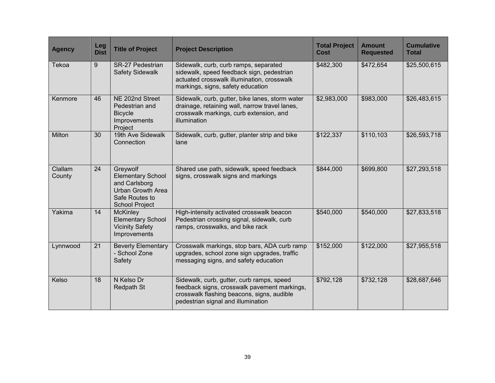| <b>Agency</b>     | Leg<br><b>Dist</b> | <b>Title of Project</b>                                                                                                      | <b>Project Description</b>                                                                                                                                                    | <b>Total Project</b><br>Cost | <b>Amount</b><br><b>Requested</b> | <b>Cumulative</b><br><b>Total</b> |
|-------------------|--------------------|------------------------------------------------------------------------------------------------------------------------------|-------------------------------------------------------------------------------------------------------------------------------------------------------------------------------|------------------------------|-----------------------------------|-----------------------------------|
| Tekoa             | 9                  | <b>SR-27 Pedestrian</b><br><b>Safety Sidewalk</b>                                                                            | Sidewalk, curb, curb ramps, separated<br>sidewalk, speed feedback sign, pedestrian<br>actuated crosswalk illumination, crosswalk<br>markings, signs, safety education         | \$482,300                    | \$472,654                         | \$25,500,615                      |
| Kenmore           | 46                 | NE 202nd Street<br>Pedestrian and<br><b>Bicycle</b><br>Improvements<br>Project                                               | Sidewalk, curb, gutter, bike lanes, storm water<br>drainage, retaining wall, narrow travel lanes,<br>crosswalk markings, curb extension, and<br>illumination                  | \$2,983,000                  | \$983,000                         | \$26,483,615                      |
| Milton            | 30                 | 19th Ave Sidewalk<br>Connection                                                                                              | Sidewalk, curb, gutter, planter strip and bike<br>lane                                                                                                                        | \$122,337                    | \$110,103                         | \$26,593,718                      |
| Clallam<br>County | 24                 | Greywolf<br><b>Elementary School</b><br>and Carlsborg<br><b>Urban Growth Area</b><br>Safe Routes to<br><b>School Project</b> | Shared use path, sidewalk, speed feedback<br>signs, crosswalk signs and markings                                                                                              | \$844,000                    | \$699,800                         | \$27,293,518                      |
| Yakima            | 14                 | <b>McKinley</b><br><b>Elementary School</b><br><b>Vicinity Safety</b><br>Improvements                                        | High-intensity activated crosswalk beacon<br>Pedestrian crossing signal, sidewalk, curb<br>ramps, crosswalks, and bike rack                                                   | \$540,000                    | \$540,000                         | \$27,833,518                      |
| Lynnwood          | 21                 | <b>Beverly Elementary</b><br>- School Zone<br>Safety                                                                         | Crosswalk markings, stop bars, ADA curb ramp<br>upgrades, school zone sign upgrades, traffic<br>messaging signs, and safety education                                         | \$152,000                    | \$122,000                         | \$27,955,518                      |
| Kelso             | 18                 | N Kelso Dr<br>Redpath St                                                                                                     | Sidewalk, curb, gutter, curb ramps, speed<br>feedback signs, crosswalk pavement markings,<br>crosswalk flashing beacons, signs, audible<br>pedestrian signal and illumination | \$792,128                    | \$732,128                         | \$28,687,646                      |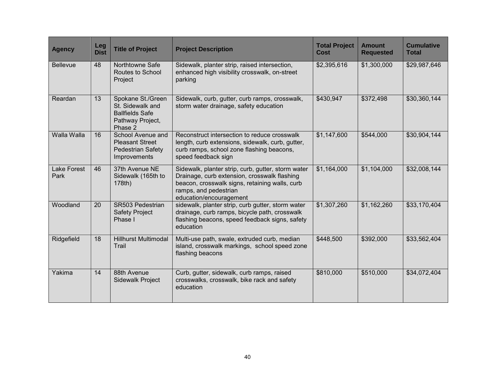| <b>Agency</b>              | <b>Leg</b><br><b>Dist</b> | <b>Title of Project</b>                                                                        | <b>Project Description</b>                                                                                                                                                                               | <b>Total Project</b><br><b>Cost</b> | <b>Amount</b><br><b>Requested</b> | <b>Cumulative</b><br><b>Total</b> |
|----------------------------|---------------------------|------------------------------------------------------------------------------------------------|----------------------------------------------------------------------------------------------------------------------------------------------------------------------------------------------------------|-------------------------------------|-----------------------------------|-----------------------------------|
| <b>Bellevue</b>            | 48                        | Northtowne Safe<br><b>Routes to School</b><br>Project                                          | Sidewalk, planter strip, raised intersection,<br>enhanced high visibility crosswalk, on-street<br>parking                                                                                                | \$2,395,616                         | \$1,300,000                       | \$29,987,646                      |
| Reardan                    | 13                        | Spokane St./Green<br>St. Sidewalk and<br><b>Ballfields Safe</b><br>Pathway Project,<br>Phase 2 | Sidewalk, curb, gutter, curb ramps, crosswalk,<br>storm water drainage, safety education                                                                                                                 | \$430,947                           | \$372,498                         | \$30,360,144                      |
| Walla Walla                | 16                        | School Avenue and<br><b>Pleasant Street</b><br><b>Pedestrian Safety</b><br>Improvements        | Reconstruct intersection to reduce crosswalk<br>length, curb extensions, sidewalk, curb, gutter,<br>curb ramps, school zone flashing beacons,<br>speed feedback sign                                     | \$1,147,600                         | \$544,000                         | \$30,904,144                      |
| <b>Lake Forest</b><br>Park | 46                        | 37th Avenue NE<br>Sidewalk (165th to<br>178th)                                                 | Sidewalk, planter strip, curb, gutter, storm water<br>Drainage, curb extension, crosswalk flashing<br>beacon, crosswalk signs, retaining walls, curb<br>ramps, and pedestrian<br>education/encouragement | \$1,164,000                         | \$1,104,000                       | \$32,008,144                      |
| Woodland                   | 20                        | SR503 Pedestrian<br><b>Safety Project</b><br>Phase I                                           | sidewalk, planter strip, curb gutter, storm water<br>drainage, curb ramps, bicycle path, crosswalk<br>flashing beacons, speed feedback signs, safety<br>education                                        | \$1,307,260                         | \$1,162,260                       | \$33,170,404                      |
| Ridgefield                 | 18                        | Hillhurst Multimodal<br>Trail                                                                  | Multi-use path, swale, extruded curb, median<br>island, crosswalk markings, school speed zone<br>flashing beacons                                                                                        | \$448,500                           | \$392,000                         | \$33,562,404                      |
| Yakima                     | 14                        | 88th Avenue<br><b>Sidewalk Project</b>                                                         | Curb, gutter, sidewalk, curb ramps, raised<br>crosswalks, crosswalk, bike rack and safety<br>education                                                                                                   | \$810,000                           | \$510,000                         | \$34,072,404                      |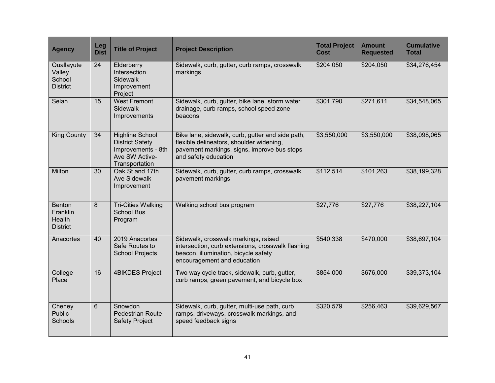| <b>Agency</b>                                                 | Leg<br><b>Dist</b> | <b>Title of Project</b>                                                                                    | <b>Project Description</b>                                                                                                                                          | <b>Total Project</b><br><b>Cost</b> | Amount<br><b>Requested</b> | <b>Cumulative</b><br><b>Total</b> |
|---------------------------------------------------------------|--------------------|------------------------------------------------------------------------------------------------------------|---------------------------------------------------------------------------------------------------------------------------------------------------------------------|-------------------------------------|----------------------------|-----------------------------------|
| Quallayute<br>Valley<br>School<br><b>District</b>             | 24                 | Elderberry<br>Intersection<br><b>Sidewalk</b><br>Improvement<br>Project                                    | Sidewalk, curb, gutter, curb ramps, crosswalk<br>markings                                                                                                           | \$204,050                           | \$204,050                  | \$34,276,454                      |
| Selah                                                         | 15                 | <b>West Fremont</b><br>Sidewalk<br>Improvements                                                            | Sidewalk, curb, gutter, bike lane, storm water<br>drainage, curb ramps, school speed zone<br>beacons                                                                | \$301,790                           | \$271,611                  | \$34,548,065                      |
| <b>King County</b>                                            | 34                 | <b>Highline School</b><br><b>District Safety</b><br>Improvements - 8th<br>Ave SW Active-<br>Transportation | Bike lane, sidewalk, curb, gutter and side path,<br>flexible delineators, shoulder widening,<br>pavement markings, signs, improve bus stops<br>and safety education | \$3,550,000                         | \$3,550,000                | \$38,098,065                      |
| Milton                                                        | 30                 | Oak St and 17th<br><b>Ave Sidewalk</b><br>Improvement                                                      | Sidewalk, curb, gutter, curb ramps, crosswalk<br>pavement markings                                                                                                  | \$112,514                           | \$101,263                  | \$38,199,328                      |
| <b>Benton</b><br>Franklin<br><b>Health</b><br><b>District</b> | 8                  | <b>Tri-Cities Walking</b><br><b>School Bus</b><br>Program                                                  | Walking school bus program                                                                                                                                          | \$27,776                            | \$27,776                   | \$38,227,104                      |
| Anacortes                                                     | 40                 | 2019 Anacortes<br>Safe Routes to<br><b>School Projects</b>                                                 | Sidewalk, crosswalk markings, raised<br>intersection, curb extensions, crosswalk flashing<br>beacon, illumination, bicycle safety<br>encouragement and education    | \$540,338                           | \$470,000                  | \$38,697,104                      |
| College<br>Place                                              | 16                 | <b>4BIKDES Project</b>                                                                                     | Two way cycle track, sidewalk, curb, gutter,<br>curb ramps, green pavement, and bicycle box                                                                         | \$854,000                           | \$676,000                  | \$39,373,104                      |
| Cheney<br><b>Public</b><br>Schools                            | 6                  | Snowdon<br><b>Pedestrian Route</b><br><b>Safety Project</b>                                                | Sidewalk, curb, gutter, multi-use path, curb<br>ramps, driveways, crosswalk markings, and<br>speed feedback signs                                                   | \$320,579                           | \$256,463                  | \$39,629,567                      |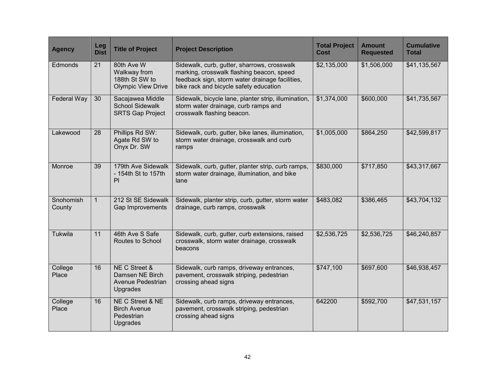| <b>Agency</b>       | Leg<br><b>Dist</b> | <b>Title of Project</b>                                                   | <b>Project Description</b>                                                                                                                                                            | <b>Total Project</b><br><b>Cost</b> | <b>Amount</b><br><b>Requested</b> | <b>Cumulative</b><br><b>Total</b> |
|---------------------|--------------------|---------------------------------------------------------------------------|---------------------------------------------------------------------------------------------------------------------------------------------------------------------------------------|-------------------------------------|-----------------------------------|-----------------------------------|
| Edmonds             | 21                 | 80th Ave W<br>Walkway from<br>188th St SW to<br><b>Olympic View Drive</b> | Sidewalk, curb, gutter, sharrows, crosswalk<br>marking, crosswalk flashing beacon, speed<br>feedback sign, storm water drainage facilities,<br>bike rack and bicycle safety education | \$2,135,000                         | \$1,506,000                       | \$41,135,567                      |
| Federal Way         | 30                 | Sacajawea Middle<br><b>School Sidewalk</b><br><b>SRTS Gap Project</b>     | Sidewalk, bicycle lane, planter strip, illumination,<br>storm water drainage, curb ramps and<br>crosswalk flashing beacon.                                                            | \$1,374,000                         | \$600,000                         | \$41,735,567                      |
| Lakewood            | 28                 | Phillips Rd SW:<br>Agate Rd SW to<br>Onyx Dr. SW                          | Sidewalk, curb, gutter, bike lanes, illumination,<br>storm water drainage, crosswalk and curb<br>ramps                                                                                | \$1,005,000                         | \$864,250                         | \$42,599,817                      |
| Monroe              | 39                 | 179th Ave Sidewalk<br>- 154th St to 157th<br>PI                           | Sidewalk, curb, gutter, planter strip, curb ramps,<br>storm water drainage, illumination, and bike<br>lane                                                                            | \$830,000                           | \$717,850                         | \$43,317,667                      |
| Snohomish<br>County | $\mathbf{1}$       | 212 St SE Sidewalk<br>Gap Improvements                                    | Sidewalk, planter strip, curb, gutter, storm water<br>drainage, curb ramps, crosswalk                                                                                                 | \$483,082                           | \$386,465                         | \$43,704,132                      |
| Tukwila             | 11                 | 46th Ave S Safe<br><b>Routes to School</b>                                | Sidewalk, curb, gutter, curb extensions, raised<br>crosswalk, storm water drainage, crosswalk<br>beacons                                                                              | \$2,536,725                         | \$2,536,725                       | \$46,240,857                      |
| College<br>Place    | 16                 | NE C Street &<br>Damsen NE Birch<br><b>Avenue Pedestrian</b><br>Upgrades  | Sidewalk, curb ramps, driveway entrances,<br>pavement, crosswalk striping, pedestrian<br>crossing ahead signs                                                                         | \$747,100                           | \$697,600                         | \$46,938,457                      |
| College<br>Place    | 16                 | NE C Street & NE<br><b>Birch Avenue</b><br>Pedestrian<br><b>Upgrades</b>  | Sidewalk, curb ramps, driveway entrances,<br>pavement, crosswalk striping, pedestrian<br>crossing ahead signs                                                                         | 642200                              | \$592,700                         | \$47,531,157                      |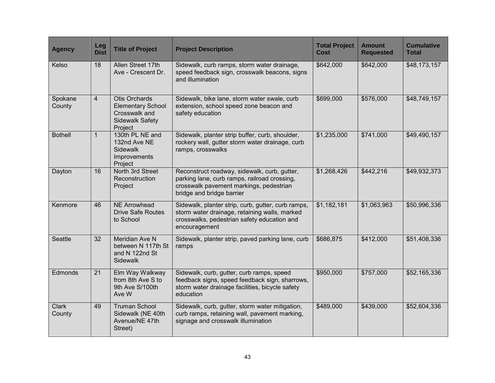| <b>Agency</b>          | Leg<br><b>Dist</b> | <b>Title of Project</b>                                                                                | <b>Project Description</b>                                                                                                                                           | <b>Total Project</b><br>Cost | <b>Amount</b><br><b>Requested</b> | <b>Cumulative</b><br><b>Total</b> |
|------------------------|--------------------|--------------------------------------------------------------------------------------------------------|----------------------------------------------------------------------------------------------------------------------------------------------------------------------|------------------------------|-----------------------------------|-----------------------------------|
| Kelso                  | 18                 | Allen Street 17th<br>Ave - Crescent Dr.                                                                | Sidewalk, curb ramps, storm water drainage,<br>speed feedback sign, crosswalk beacons, signs<br>and illumination                                                     | \$642,000                    | \$642,000                         | \$48,173,157                      |
| Spokane<br>County      | $\overline{4}$     | <b>Otis Orchards</b><br><b>Elementary School</b><br>Crosswalk and<br><b>Sidewalk Safety</b><br>Project | Sidewalk, bike lane, storm water swale, curb<br>extension, school speed zone beacon and<br>safety education                                                          | \$699,000                    | \$576,000                         | \$48,749,157                      |
| <b>Bothell</b>         | $\mathbf{1}$       | 130th PL NE and<br>132nd Ave NE<br>Sidewalk<br>Improvements<br>Project                                 | Sidewalk, planter strip buffer, curb, shoulder,<br>rockery wall, gutter storm water drainage, curb<br>ramps, crosswalks                                              | \$1,235,000                  | \$741,000                         | \$49,490,157                      |
| Dayton                 | 16                 | North 3rd Street<br>Reconstruction<br>Project                                                          | Reconstruct roadway, sidewalk, curb, gutter,<br>parking lane, curb ramps, railroad crossing,<br>crosswalk pavement markings, pedestrian<br>bridge and bridge barrier | \$1,268,426                  | \$442,216                         | \$49,932,373                      |
| Kenmore                | 46                 | <b>NE Arrowhead</b><br><b>Drive Safe Routes</b><br>to School                                           | Sidewalk, planter strip, curb, gutter, curb ramps,<br>storm water drainage, retaining walls, marked<br>crosswalks, pedestrian safety education and<br>encouragement  | \$1,182,181                  | \$1,063,963                       | \$50,996,336                      |
| Seattle                | 32                 | Meridian Ave N<br>between N 117th St<br>and N 122nd St<br><b>Sidewalk</b>                              | Sidewalk, planter strip, paved parking lane, curb<br>ramps                                                                                                           | \$686,875                    | \$412,000                         | \$51,408,336                      |
| Edmonds                | 21                 | Elm Way Walkway<br>from 8th Ave S to<br>9th Ave S/100th<br>Ave W                                       | Sidewalk, curb, gutter, curb ramps, speed<br>feedback signs, speed feedback sign, sharrows,<br>storm water drainage facilities, bicycle safety<br>education          | \$950,000                    | \$757,000                         | \$52,165,336                      |
| <b>Clark</b><br>County | 49                 | <b>Truman School</b><br>Sidewalk (NE 40th<br>Avenue/NE 47th<br>Street)                                 | Sidewalk, curb, gutter, storm water mitigation,<br>curb ramps, retaining wall, pavement marking,<br>signage and crosswalk illumination                               | \$489,000                    | \$439,000                         | \$52,604,336                      |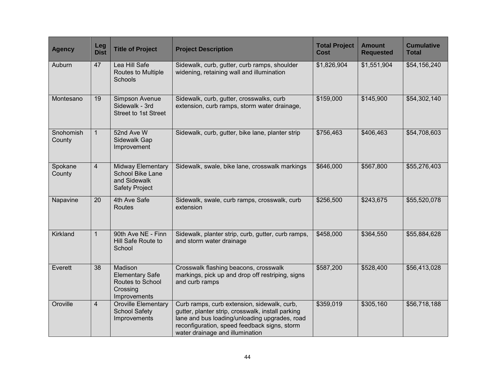| <b>Agency</b>       | Leg<br><b>Dist</b> | <b>Title of Project</b>                                                               | <b>Project Description</b>                                                                                                                                                                                                           | <b>Total Project</b><br>Cost | <b>Amount</b><br><b>Requested</b> | <b>Cumulative</b><br><b>Total</b> |
|---------------------|--------------------|---------------------------------------------------------------------------------------|--------------------------------------------------------------------------------------------------------------------------------------------------------------------------------------------------------------------------------------|------------------------------|-----------------------------------|-----------------------------------|
| Auburn              | 47                 | Lea Hill Safe<br>Routes to Multiple<br>Schools                                        | Sidewalk, curb, gutter, curb ramps, shoulder<br>widening, retaining wall and illumination                                                                                                                                            | \$1,826,904                  | \$1,551,904                       | \$54,156,240                      |
| Montesano           | 19                 | Simpson Avenue<br>Sidewalk - 3rd<br>Street to 1st Street                              | Sidewalk, curb, gutter, crosswalks, curb<br>extension, curb ramps, storm water drainage,                                                                                                                                             | \$159,000                    | \$145,900                         | \$54,302,140                      |
| Snohomish<br>County | $\mathbf{1}$       | 52nd Ave W<br>Sidewalk Gap<br>Improvement                                             | Sidewalk, curb, gutter, bike lane, planter strip                                                                                                                                                                                     | \$756,463                    | \$406,463                         | \$54,708,603                      |
| Spokane<br>County   | $\overline{4}$     | Midway Elementary<br><b>School Bike Lane</b><br>and Sidewalk<br><b>Safety Project</b> | Sidewalk, swale, bike lane, crosswalk markings                                                                                                                                                                                       | \$646,000                    | \$567,800                         | \$55,276,403                      |
| Napavine            | 20                 | 4th Ave Safe<br>Routes                                                                | Sidewalk, swale, curb ramps, crosswalk, curb<br>extension                                                                                                                                                                            | \$256,500                    | \$243,675                         | \$55,520,078                      |
| Kirkland            | $\mathbf{1}$       | 90th Ave NE - Finn<br>Hill Safe Route to<br>School                                    | Sidewalk, planter strip, curb, gutter, curb ramps,<br>and storm water drainage                                                                                                                                                       | \$458,000                    | \$364,550                         | \$55,884,628                      |
| Everett             | 38                 | Madison<br><b>Elementary Safe</b><br>Routes to School<br>Crossing<br>Improvements     | Crosswalk flashing beacons, crosswalk<br>markings, pick up and drop off restriping, signs<br>and curb ramps                                                                                                                          | \$587,200                    | \$528,400                         | \$56,413,028                      |
| Oroville            | $\overline{4}$     | Oroville Elementary<br><b>School Safety</b><br>Improvements                           | Curb ramps, curb extension, sidewalk, curb,<br>gutter, planter strip, crosswalk, install parking<br>lane and bus loading/unloading upgrades, road<br>reconfiguration, speed feedback signs, storm<br>water drainage and illumination | \$359,019                    | \$305,160                         | \$56,718,188                      |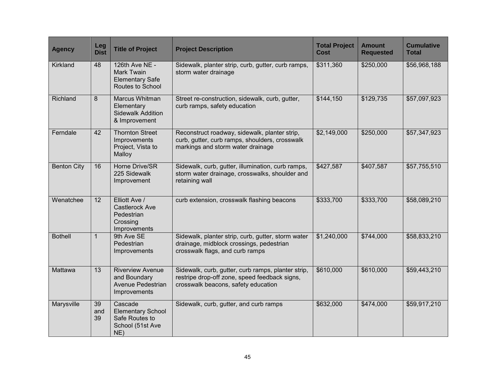| <b>Agency</b>      | Leg<br><b>Dist</b> | <b>Title of Project</b>                                                           | <b>Project Description</b>                                                                                                                 | <b>Total Project</b><br><b>Cost</b> | <b>Amount</b><br><b>Requested</b> | <b>Cumulative</b><br><b>Total</b> |
|--------------------|--------------------|-----------------------------------------------------------------------------------|--------------------------------------------------------------------------------------------------------------------------------------------|-------------------------------------|-----------------------------------|-----------------------------------|
| Kirkland           | 48                 | 126th Ave NE -<br><b>Mark Twain</b><br><b>Elementary Safe</b><br>Routes to School | Sidewalk, planter strip, curb, gutter, curb ramps,<br>storm water drainage                                                                 | \$311,360                           | \$250,000                         | \$56,968,188                      |
| Richland           | 8                  | Marcus Whitman<br>Elementary<br><b>Sidewalk Addition</b><br>& Improvement         | Street re-construction, sidewalk, curb, gutter,<br>curb ramps, safety education                                                            | \$144,150                           | \$129,735                         | \$57,097,923                      |
| Ferndale           | 42                 | <b>Thornton Street</b><br>Improvements<br>Project, Vista to<br>Malloy             | Reconstruct roadway, sidewalk, planter strip,<br>curb, gutter, curb ramps, shoulders, crosswalk<br>markings and storm water drainage       | \$2,149,000                         | \$250,000                         | \$57,347,923                      |
| <b>Benton City</b> | 16                 | Horne Drive/SR<br>225 Sidewalk<br>Improvement                                     | Sidewalk, curb, gutter, illumination, curb ramps,<br>storm water drainage, crosswalks, shoulder and<br>retaining wall                      | \$427,587                           | \$407,587                         | \$57,755,510                      |
| Wenatchee          | 12                 | Elliott Ave /<br>Castlerock Ave<br>Pedestrian<br>Crossing<br>Improvements         | curb extension, crosswalk flashing beacons                                                                                                 | \$333,700                           | \$333,700                         | \$58,089,210                      |
| <b>Bothell</b>     | $\mathbf{1}$       | 9th Ave SE<br>Pedestrian<br>Improvements                                          | Sidewalk, planter strip, curb, gutter, storm water<br>drainage, midblock crossings, pedestrian<br>crosswalk flags, and curb ramps          | \$1,240,000                         | \$744,000                         | \$58,833,210                      |
| Mattawa            | 13                 | <b>Riverview Avenue</b><br>and Boundary<br>Avenue Pedestrian<br>Improvements      | Sidewalk, curb, gutter, curb ramps, planter strip,<br>restripe drop-off zone, speed feedback signs,<br>crosswalk beacons, safety education | \$610,000                           | \$610,000                         | \$59,443,210                      |
| Marysville         | 39<br>and<br>39    | Cascade<br><b>Elementary School</b><br>Safe Routes to<br>School (51st Ave<br>NE)  | Sidewalk, curb, gutter, and curb ramps                                                                                                     | \$632,000                           | \$474,000                         | \$59,917,210                      |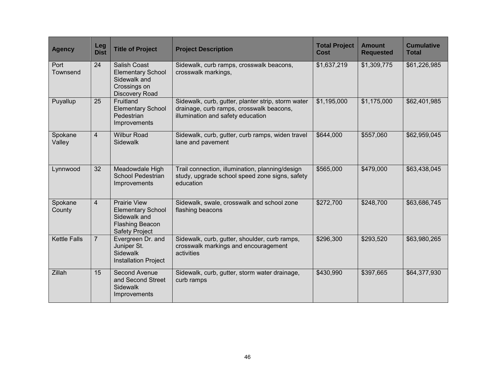| <b>Agency</b>       | Leg<br><b>Dist</b> | <b>Title of Project</b>                                                                                            | <b>Project Description</b>                                                                                                          | <b>Total Project</b><br><b>Cost</b> | <b>Amount</b><br><b>Requested</b> | <b>Cumulative</b><br><b>Total</b> |
|---------------------|--------------------|--------------------------------------------------------------------------------------------------------------------|-------------------------------------------------------------------------------------------------------------------------------------|-------------------------------------|-----------------------------------|-----------------------------------|
| Port<br>Townsend    | 24                 | <b>Salish Coast</b><br><b>Elementary School</b><br>Sidewalk and<br>Crossings on<br>Discovery Road                  | Sidewalk, curb ramps, crosswalk beacons,<br>crosswalk markings,                                                                     | \$1,637,219                         | \$1,309,775                       | \$61,226,985                      |
| Puyallup            | 25                 | Fruitland<br><b>Elementary School</b><br>Pedestrian<br>Improvements                                                | Sidewalk, curb, gutter, planter strip, storm water<br>drainage, curb ramps, crosswalk beacons,<br>illumination and safety education | \$1,195,000                         | \$1,175,000                       | \$62,401,985                      |
| Spokane<br>Valley   | $\overline{4}$     | <b>Wilbur Road</b><br><b>Sidewalk</b>                                                                              | Sidewalk, curb, gutter, curb ramps, widen travel<br>lane and pavement                                                               | \$644,000                           | \$557,060                         | \$62,959,045                      |
| Lynnwood            | 32                 | Meadowdale High<br><b>School Pedestrian</b><br>Improvements                                                        | Trail connection, illumination, planning/design<br>study, upgrade school speed zone signs, safety<br>education                      | \$565,000                           | \$479,000                         | \$63,438,045                      |
| Spokane<br>County   | $\overline{4}$     | <b>Prairie View</b><br><b>Elementary School</b><br>Sidewalk and<br><b>Flashing Beacon</b><br><b>Safety Project</b> | Sidewalk, swale, crosswalk and school zone<br>flashing beacons                                                                      | \$272,700                           | \$248,700                         | \$63,686,745                      |
| <b>Kettle Falls</b> | $\overline{7}$     | Evergreen Dr. and<br>Juniper St.<br>Sidewalk<br><b>Installation Project</b>                                        | Sidewalk, curb, gutter, shoulder, curb ramps,<br>crosswalk markings and encouragement<br>activities                                 | \$296,300                           | \$293,520                         | \$63,980,265                      |
| <b>Zillah</b>       | 15                 | Second Avenue<br>and Second Street<br>Sidewalk<br>Improvements                                                     | Sidewalk, curb, gutter, storm water drainage,<br>curb ramps                                                                         | \$430,990                           | \$397,665                         | \$64,377,930                      |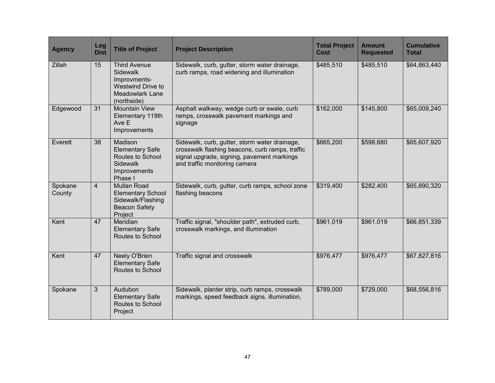| <b>Agency</b>     | Leg<br><b>Dist</b> | <b>Title of Project</b>                                                                                              | <b>Project Description</b>                                                                                                                                                      | <b>Total Project</b><br>Cost | <b>Amount</b><br><b>Requested</b> | <b>Cumulative</b><br><b>Total</b> |
|-------------------|--------------------|----------------------------------------------------------------------------------------------------------------------|---------------------------------------------------------------------------------------------------------------------------------------------------------------------------------|------------------------------|-----------------------------------|-----------------------------------|
| Zillah            | 15                 | <b>Third Avenue</b><br>Sidewalk<br>Improvments-<br><b>Westwind Drive to</b><br><b>Meadowlark Lane</b><br>(northside) | Sidewalk, curb, gutter, storm water drainage,<br>curb ramps, road widening and illumination                                                                                     | \$485,510                    | \$485,510                         | \$64,863,440                      |
| Edgewood          | 31                 | <b>Mountain View</b><br>Elementary 119th<br>Ave E<br>Improvements                                                    | Asphalt walkway, wedge curb or swale, curb<br>ramps, crosswalk pavement markings and<br>signage                                                                                 | \$162,000                    | \$145,800                         | \$65,009,240                      |
| Everett           | 38                 | Madison<br><b>Elementary Safe</b><br>Routes to School<br>Sidewalk<br>Improvements<br>Phase I                         | Sidewalk, curb, gutter, storm water drainage,<br>crosswalk flashing beacons, curb ramps, traffic<br>signal upgrade, signing, pavement markings<br>and traffic monitoring camera | \$665,200                    | \$598,680                         | \$65,607,920                      |
| Spokane<br>County | $\overline{4}$     | <b>Mullan Road</b><br><b>Elementary School</b><br>Sidewalk/Flashing<br><b>Beacon Safety</b><br>Project               | Sidewalk, curb, gutter, curb ramps, school zone<br>flashing beacons                                                                                                             | \$319,400                    | \$282,400                         | \$65,890,320                      |
| Kent              | 47                 | Meridian<br><b>Elementary Safe</b><br>Routes to School                                                               | Traffic signal, "shoulder path", extruded curb,<br>crosswalk markings, and illumination                                                                                         | \$961,019                    | \$961,019                         | \$66,851,339                      |
| Kent              | 47                 | Neely O'Brien<br><b>Elementary Safe</b><br>Routes to School                                                          | Traffic signal and crosswalk                                                                                                                                                    | \$976,477                    | \$976,477                         | \$67,827,816                      |
| Spokane           | $\overline{3}$     | Audubon<br><b>Elementary Safe</b><br>Routes to School<br>Project                                                     | Sidewalk, planter strip, curb ramps, crosswalk<br>markings, speed feedback signs, illumination,                                                                                 | \$789,000                    | \$729,000                         | \$68,556,816                      |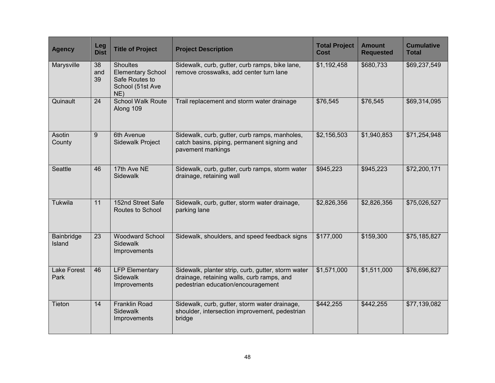| <b>Agency</b>              | Leg<br><b>Dist</b> | <b>Title of Project</b>                                                                  | <b>Project Description</b>                                                                                                             | <b>Total Project</b><br>Cost | <b>Amount</b><br><b>Requested</b> | <b>Cumulative</b><br><b>Total</b> |
|----------------------------|--------------------|------------------------------------------------------------------------------------------|----------------------------------------------------------------------------------------------------------------------------------------|------------------------------|-----------------------------------|-----------------------------------|
| Marysville                 | 38<br>and<br>39    | <b>Shoultes</b><br><b>Elementary School</b><br>Safe Routes to<br>School (51st Ave<br>NE) | Sidewalk, curb, gutter, curb ramps, bike lane,<br>remove crosswalks, add center turn lane                                              | \$1,192,458                  | \$680,733                         | \$69,237,549                      |
| Quinault                   | 24                 | <b>School Walk Route</b><br>Along 109                                                    | Trail replacement and storm water drainage                                                                                             | \$76,545                     | \$76,545                          | \$69,314,095                      |
| Asotin<br>County           | 9                  | 6th Avenue<br><b>Sidewalk Project</b>                                                    | Sidewalk, curb, gutter, curb ramps, manholes,<br>catch basins, piping, permanent signing and<br>pavement markings                      | \$2,156,503                  | \$1,940,853                       | \$71,254,948                      |
| Seattle                    | 46                 | 17th Ave NE<br>Sidewalk                                                                  | Sidewalk, curb, gutter, curb ramps, storm water<br>drainage, retaining wall                                                            | \$945,223                    | \$945,223                         | \$72,200,171                      |
| Tukwila                    | 11                 | 152nd Street Safe<br>Routes to School                                                    | Sidewalk, curb, gutter, storm water drainage,<br>parking lane                                                                          | \$2,826,356                  | \$2,826,356                       | \$75,026,527                      |
| Bainbridge<br>Island       | 23                 | <b>Woodward School</b><br>Sidewalk<br>Improvements                                       | Sidewalk, shoulders, and speed feedback signs                                                                                          | \$177,000                    | \$159,300                         | \$75,185,827                      |
| <b>Lake Forest</b><br>Park | 46                 | <b>LFP Elementary</b><br><b>Sidewalk</b><br>Improvements                                 | Sidewalk, planter strip, curb, gutter, storm water<br>drainage, retaining walls, curb ramps, and<br>pedestrian education/encouragement | \$1,571,000                  | \$1,511,000                       | \$76,696,827                      |
| Tieton                     | 14                 | <b>Franklin Road</b><br><b>Sidewalk</b><br>Improvements                                  | Sidewalk, curb, gutter, storm water drainage,<br>shoulder, intersection improvement, pedestrian<br>bridge                              | \$442,255                    | \$442,255                         | \$77,139,082                      |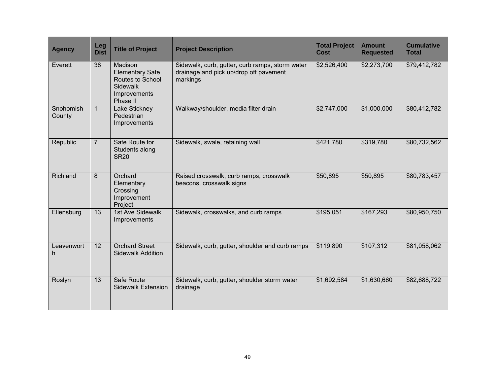| <b>Agency</b>       | Leg<br><b>Dist</b> | <b>Title of Project</b>                                                                              | <b>Project Description</b>                                                                            | <b>Total Project</b><br>Cost | <b>Amount</b><br><b>Requested</b> | <b>Cumulative</b><br><b>Total</b> |
|---------------------|--------------------|------------------------------------------------------------------------------------------------------|-------------------------------------------------------------------------------------------------------|------------------------------|-----------------------------------|-----------------------------------|
| Everett             | 38                 | Madison<br><b>Elementary Safe</b><br>Routes to School<br><b>Sidewalk</b><br>Improvements<br>Phase II | Sidewalk, curb, gutter, curb ramps, storm water<br>drainage and pick up/drop off pavement<br>markings | \$2,526,400                  | \$2,273,700                       | \$79,412,782                      |
| Snohomish<br>County | $\mathbf{1}$       | Lake Stickney<br>Pedestrian<br>Improvements                                                          | Walkway/shoulder, media filter drain                                                                  | \$2,747,000                  | \$1,000,000                       | \$80,412,782                      |
| Republic            | $\overline{7}$     | Safe Route for<br>Students along<br><b>SR20</b>                                                      | Sidewalk, swale, retaining wall                                                                       | \$421,780                    | \$319,780                         | \$80,732,562                      |
| Richland            | 8                  | Orchard<br>Elementary<br>Crossing<br>Improvement<br>Project                                          | Raised crosswalk, curb ramps, crosswalk<br>beacons, crosswalk signs                                   | \$50,895                     | \$50,895                          | \$80,783,457                      |
| Ellensburg          | 13                 | 1st Ave Sidewalk<br>Improvements                                                                     | Sidewalk, crosswalks, and curb ramps                                                                  | \$195,051                    | \$167,293                         | \$80,950,750                      |
| Leavenwort<br>h     | 12                 | <b>Orchard Street</b><br><b>Sidewalk Addition</b>                                                    | Sidewalk, curb, gutter, shoulder and curb ramps                                                       | \$119,890                    | \$107,312                         | \$81,058,062                      |
| Roslyn              | 13                 | Safe Route<br><b>Sidewalk Extension</b>                                                              | Sidewalk, curb, gutter, shoulder storm water<br>drainage                                              | \$1,692,584                  | \$1,630,660                       | \$82,688,722                      |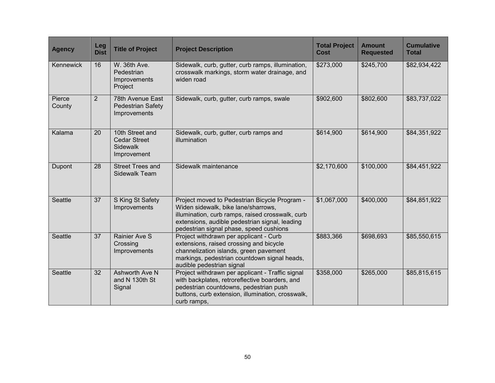| <b>Agency</b>    | Leg<br><b>Dist</b> | <b>Title of Project</b>                                                  | <b>Project Description</b>                                                                                                                                                                                                            | <b>Total Project</b><br><b>Cost</b> | <b>Amount</b><br><b>Requested</b> | <b>Cumulative</b><br><b>Total</b> |
|------------------|--------------------|--------------------------------------------------------------------------|---------------------------------------------------------------------------------------------------------------------------------------------------------------------------------------------------------------------------------------|-------------------------------------|-----------------------------------|-----------------------------------|
| Kennewick        | 16                 | W. 36th Ave.<br>Pedestrian<br>Improvements<br>Project                    | Sidewalk, curb, gutter, curb ramps, illumination,<br>crosswalk markings, storm water drainage, and<br>widen road                                                                                                                      | \$273,000                           | \$245,700                         | \$82,934,422                      |
| Pierce<br>County | $\overline{2}$     | 78th Avenue East<br><b>Pedestrian Safety</b><br>Improvements             | Sidewalk, curb, gutter, curb ramps, swale                                                                                                                                                                                             | \$902,600                           | \$802,600                         | \$83,737,022                      |
| Kalama           | 20                 | 10th Street and<br><b>Cedar Street</b><br><b>Sidewalk</b><br>Improvement | Sidewalk, curb, gutter, curb ramps and<br>illumination                                                                                                                                                                                | \$614,900                           | \$614,900                         | \$84,351,922                      |
| Dupont           | 28                 | <b>Street Trees and</b><br>Sidewalk Team                                 | Sidewalk maintenance                                                                                                                                                                                                                  | \$2,170,600                         | \$100,000                         | \$84,451,922                      |
| Seattle          | 37                 | S King St Safety<br>Improvements                                         | Project moved to Pedestrian Bicycle Program -<br>Widen sidewalk, bike lane/sharrows,<br>illumination, curb ramps, raised crosswalk, curb<br>extensions, audible pedestrian signal, leading<br>pedestrian signal phase, speed cushions | \$1,067,000                         | \$400,000                         | \$84,851,922                      |
| Seattle          | 37                 | Rainier Ave S<br>Crossing<br>Improvements                                | Project withdrawn per applicant - Curb<br>extensions, raised crossing and bicycle<br>channelization islands, green pavement<br>markings, pedestrian countdown signal heads,<br>audible pedestrian signal                              | \$883,366                           | \$698,693                         | \$85,550,615                      |
| <b>Seattle</b>   | 32                 | Ashworth Ave N<br>and N 130th St<br>Signal                               | Project withdrawn per applicant - Traffic signal<br>with backplates, retroreflective boarders, and<br>pedestrian countdowns, pedestrian push<br>buttons, curb extension, illumination, crosswalk,<br>curb ramps,                      | \$358,000                           | \$265,000                         | \$85,815,615                      |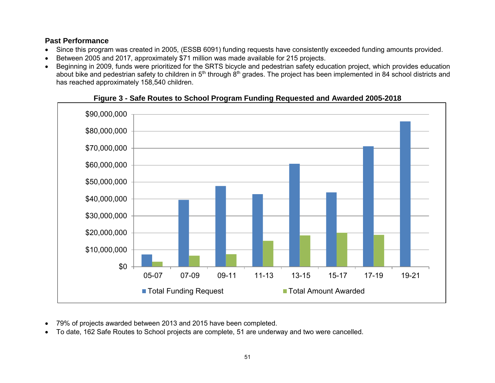### <span id="page-52-0"></span>**Past Performance**

- Since this program was created in 2005, (ESSB 6091) funding requests have consistently exceeded funding amounts provided.
- Between 2005 and 2017, approximately \$71 million was made available for 215 projects.
- Beginning in 2009, funds were prioritized for the SRTS bicycle and pedestrian safety education project, which provides education about bike and pedestrian safety to children in 5<sup>th</sup> through 8<sup>th</sup> grades. The project has been implemented in 84 school districts and has reached approximately 158,540 children.

<span id="page-52-1"></span>

#### **Figure 3 - Safe Routes to School Program Funding Requested and Awarded 2005-2018**

- 79% of projects awarded between 2013 and 2015 have been completed.
- To date, 162 Safe Routes to School projects are complete, 51 are underway and two were cancelled.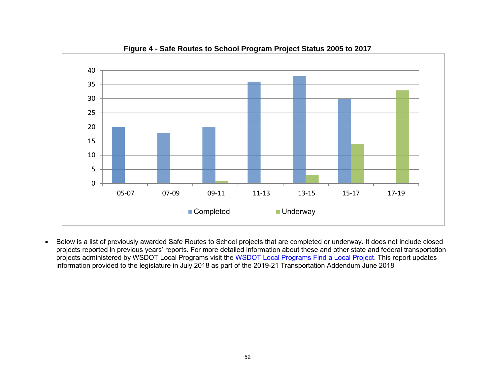<span id="page-53-0"></span>

**Figure 4 - Safe Routes to School Program Project Status 2005 to 2017**

 Below is a list of previously awarded Safe Routes to School projects that are completed or underway. It does not include closed projects reported in previous years' reports. For more detailed information about these and other state and federal transportation projects administered by WSDOT Local Programs visit the [WSDOT Local](http://webpub1.wsdot.wa.gov/LocalPrograms/Projects/Dashboard/ProjectMapWA.aspx) Programs Find a Local Project. This report updates information provided to the legislature in July 2018 as part of the 2019-21 Transportation Addendum June 2018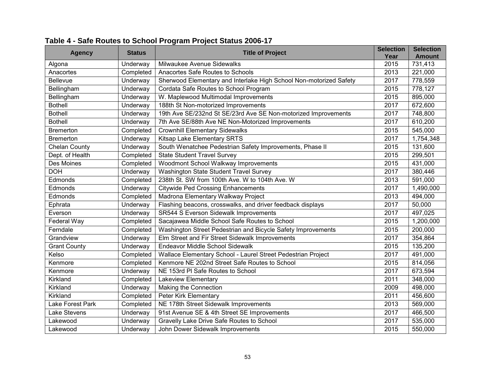| <b>Agency</b>        | <b>Status</b> | <b>Title of Project</b>                                            | <b>Selection</b><br>Year | <b>Selection</b><br><b>Amount</b> |
|----------------------|---------------|--------------------------------------------------------------------|--------------------------|-----------------------------------|
| Algona               | Underway      | Milwaukee Avenue Sidewalks                                         | 2015                     | 731,413                           |
| Anacortes            | Completed     | Anacortes Safe Routes to Schools                                   | 2013                     | 221,000                           |
| Bellevue             | Underway      | Sherwood Elementary and Interlake High School Non-motorized Safety | 2017                     | 778,559                           |
| Bellingham           | Underway      | Cordata Safe Routes to School Program                              | 2015                     | 778,127                           |
| Bellingham           | Underway      | W. Maplewood Multimodal Improvements                               | 2015                     | 895,000                           |
| <b>Bothell</b>       | Underway      | 188th St Non-motorized Improvements                                | 2017                     | 672,600                           |
| <b>Bothell</b>       | Underway      | 19th Ave SE/232nd St SE/23rd Ave SE Non-motorized Improvements     | 2017                     | 748,800                           |
| <b>Bothell</b>       | Underway      | 7th Ave SE/88th Ave NE Non-Motorized Improvements                  | 2017                     | 610,200                           |
| <b>Bremerton</b>     | Completed     | <b>Crownhill Elementary Sidewalks</b>                              | 2015                     | 545,000                           |
| <b>Bremerton</b>     | Underway      | Kitsap Lake Elementary SRTS                                        | 2017                     | 1,754,348                         |
| <b>Chelan County</b> | Underway      | South Wenatchee Pedestrian Safety Improvements, Phase II           | 2015                     | 131,600                           |
| Dept. of Health      | Completed     | <b>State Student Travel Survey</b>                                 | 2015                     | 299,501                           |
| Des Moines           | Completed     | Woodmont School Walkway Improvements                               | 2015                     | 431,000                           |
| <b>DOH</b>           | Underway      | Washington State Student Travel Survey                             | 2017                     | 380,446                           |
| Edmonds              | Completed     | 238th St. SW from 100th Ave. W to 104th Ave. W                     | 2013                     | 591,000                           |
| Edmonds              | Underway      | <b>Citywide Ped Crossing Enhancements</b>                          | 2017                     | 1,490,000                         |
| Edmonds              | Completed     | Madrona Elementary Walkway Project                                 | 2013                     | 494,000                           |
| Ephrata              | Underway      | Flashing beacons, crosswalks, and driver feedback displays         | 2017                     | 50,000                            |
| Everson              | Underway      | <b>SR544 S Everson Sidewalk Improvements</b>                       | 2017                     | 497,025                           |
| Federal Way          | Completed     | Sacajawea Middle School Safe Routes to School                      | 2015                     | 1,200,000                         |
| Ferndale             | Completed     | Washington Street Pedestrian and Bicycle Safety Improvements       | 2015                     | 200,000                           |
| Grandview            | Underway      | Elm Street and Fir Street Sidewalk Improvements                    | 2017                     | 354,864                           |
| <b>Grant County</b>  | Underway      | Endeavor Middle School Sidewalk                                    | 2015                     | 135,200                           |
| Kelso                | Completed     | Wallace Elementary School - Laurel Street Pedestrian Project       | 2017                     | 491,000                           |
| Kenmore              | Completed     | Kenmore NE 202nd Street Safe Routes to School                      | 2015                     | 814,056                           |
| Kenmore              | Underway      | NE 153rd PI Safe Routes to School                                  | 2017                     | 673,594                           |
| Kirkland             | Completed     | Lakeview Elementary                                                | 2011                     | 348,000                           |
| Kirkland             | Underway      | Making the Connection                                              | 2009                     | 498,000                           |
| Kirkland             | Completed     | Peter Kirk Elementary                                              | 2011                     | 456,600                           |
| Lake Forest Park     | Completed     | NE 178th Street Sidewalk Improvements                              | 2013                     | 569,000                           |
| Lake Stevens         | Underway      | 91st Avenue SE & 4th Street SE Improvements                        | 2017                     | 466,500                           |
| Lakewood             | Underway      | Gravelly Lake Drive Safe Routes to School                          | 2017                     | 535,000                           |
| Lakewood             | Underway      | John Dower Sidewalk Improvements                                   | 2015                     | 550,000                           |

## <span id="page-54-0"></span>**Table 4 - Safe Routes to School Program Project Status 2006-17**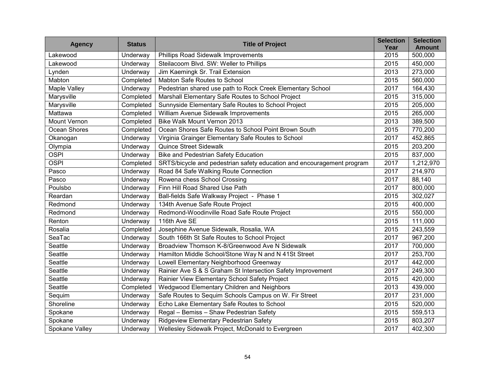| <b>Agency</b>       | <b>Status</b>   | <b>Title of Project</b>                                                | <b>Selection</b><br>Year | <b>Selection</b><br><b>Amount</b> |
|---------------------|-----------------|------------------------------------------------------------------------|--------------------------|-----------------------------------|
| Lakewood            | Underway        | Phillips Road Sidewalk Improvements                                    | 2015                     | 500,000                           |
| Lakewood            | Underway        | Steilacoom Blvd. SW: Weller to Phillips                                | 2015                     | 450,000                           |
| Lynden              | Underway        | Jim Kaemingk Sr. Trail Extension                                       | 2013                     | 273,000                           |
| Mabton              | Completed       | Mabton Safe Routes to School                                           | 2015                     | 560,000                           |
| Maple Valley        | Underway        | Pedestrian shared use path to Rock Creek Elementary School             | 2017                     | 164,430                           |
| Marysville          | Completed       | Marshall Elementary Safe Routes to School Project                      | 2015                     | 315,000                           |
| Marysville          | Completed       | Sunnyside Elementary Safe Routes to School Project                     | 2015                     | 205,000                           |
| Mattawa             | Completed       | William Avenue Sidewalk Improvements                                   | 2015                     | 265,000                           |
| <b>Mount Vernon</b> | Completed       | <b>Bike Walk Mount Vernon 2013</b>                                     | 2013                     | 389,500                           |
| Ocean Shores        | Completed       | Ocean Shores Safe Routes to School Point Brown South                   | 2015                     | 770,200                           |
| Okanogan            | Underway        | Virginia Grainger Elementary Safe Routes to School                     | 2017                     | 452,865                           |
| Olympia             | Underway        | <b>Quince Street Sidewalk</b>                                          | 2015                     | 203,200                           |
| <b>OSPI</b>         | Underway        | <b>Bike and Pedestrian Safety Education</b>                            | 2015                     | 837,000                           |
| <b>OSPI</b>         | Completed       | SRTS/bicycle and pedestrian safety education and encouragement program | 2017                     | 1,212,970                         |
| Pasco               | Underway        | Road 84 Safe Walking Route Connection                                  | 2017                     | 214,970                           |
| Pasco               | Underway        | Rowena chess School Crossing                                           | 2017                     | 88,140                            |
| Poulsbo             | Underway        | Finn Hill Road Shared Use Path                                         | 2017                     | 800,000                           |
| Reardan             | Underway        | Ball-fields Safe Walkway Project - Phase 1                             | 2015                     | 302,027                           |
| Redmond             | Underway        | 134th Avenue Safe Route Project                                        | 2015                     | 400,000                           |
| Redmond             | Underway        | Redmond-Woodinville Road Safe Route Project                            | 2015                     | 550,000                           |
| Renton              | Underway        | 116th Ave SE                                                           | 2015                     | 111,000                           |
| Rosalia             | Completed       | Josephine Avenue Sidewalk, Rosalia, WA                                 | 2015                     | 243,559                           |
| SeaTac              | Underway        | South 166th St Safe Routes to School Project                           | 2017                     | 967,200                           |
| Seattle             | Underway        | Broadview Thomson K-8/Greenwood Ave N Sidewalk                         | 2017                     | 700,000                           |
| Seattle             | Underway        | Hamilton Middle School/Stone Way N and N 41St Street                   | 2017                     | 253,700                           |
| Seattle             | Underway        | Lowell Elementary Neighborhood Greenway                                | 2017                     | 442,000                           |
| Seattle             | Underway        | Rainier Ave S & S Graham St Intersection Safety Improvement            | 2017                     | 249,300                           |
| Seattle             | Underway        | Rainier View Elementary School Safety Project                          | 2015                     | 420,000                           |
| Seattle             | Completed       | Wedgwood Elementary Children and Neighbors                             | 2013                     | 439,000                           |
| Sequim              | Underway        | Safe Routes to Sequim Schools Campus on W. Fir Street                  | 2017                     | 231,000                           |
| Shoreline           | <b>Underway</b> | Echo Lake Elementary Safe Routes to School                             | 2015                     | 520,000                           |
| Spokane             | <b>Underway</b> | Regal - Bemiss - Shaw Pedestrian Safety                                | 2015                     | 559,513                           |
| Spokane             | Underway        | Ridgeview Elementary Pedestrian Safety                                 | 2015                     | 803,207                           |
| Spokane Valley      | Underway        | Wellesley Sidewalk Project, McDonald to Evergreen                      | 2017                     | 402,300                           |